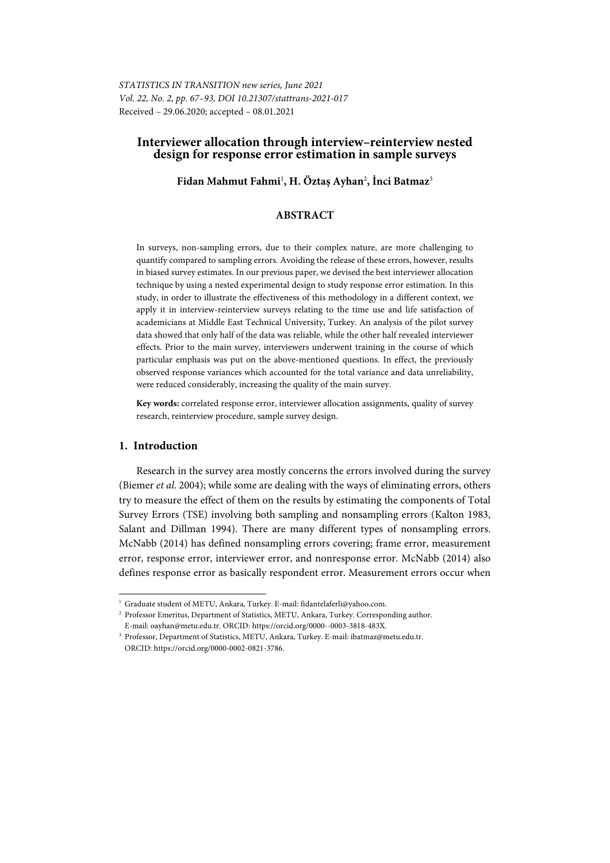# **Interviewer allocation through interview–reinterview nested design for response error estimation in sample surveys**

# **Fidan Mahmut Fahmi**<sup>1</sup> **, H. Öztaş Ayhan**<sup>2</sup> **, İnci Batmaz**<sup>3</sup>

## **ABSTRACT**

In surveys, non-sampling errors, due to their complex nature, are more challenging to quantify compared to sampling errors. Avoiding the release of these errors, however, results in biased survey estimates. In our previous paper, we devised the best interviewer allocation technique by using a nested experimental design to study response error estimation. In this study, in order to illustrate the effectiveness of this methodology in a different context, we apply it in interview-reinterview surveys relating to the time use and life satisfaction of academicians at Middle East Technical University, Turkey. An analysis of the pilot survey data showed that only half of the data was reliable, while the other half revealed interviewer effects. Prior to the main survey, interviewers underwent training in the course of which particular emphasis was put on the above-mentioned questions. In effect, the previously observed response variances which accounted for the total variance and data unreliability, were reduced considerably, increasing the quality of the main survey.

**Key words:** correlated response error, interviewer allocation assignments, quality of survey research, reinterview procedure, sample survey design.

## **1. Introduction**

l

Research in the survey area mostly concerns the errors involved during the survey (Biemer *et al*. 2004); while some are dealing with the ways of eliminating errors, others try to measure the effect of them on the results by estimating the components of Total Survey Errors (TSE) involving both sampling and nonsampling errors (Kalton 1983, Salant and Dillman 1994). There are many different types of nonsampling errors. McNabb (2014) has defined nonsampling errors covering; frame error, measurement error, response error, interviewer error, and nonresponse error. McNabb (2014) also defines response error as basically respondent error. Measurement errors occur when

<sup>&</sup>lt;sup>1</sup> Graduate student of METU, Ankara, Turkey. E-mail: fidantelaferli@yahoo.com.

<sup>&</sup>lt;sup>2</sup> Professor Emeritus, Department of Statistics, METU, Ankara, Turkey. Corresponding author. E-mail: oayhan@metu.edu.tr. ORCID: https://orcid.org/0000--0003-3818-483X. 3 Professor, Department of Statistics, METU, Ankara, Turkey. E-mail: ibatmaz@metu.edu.tr.

ORCID: https://orcid.org/0000-0002-0821-3786.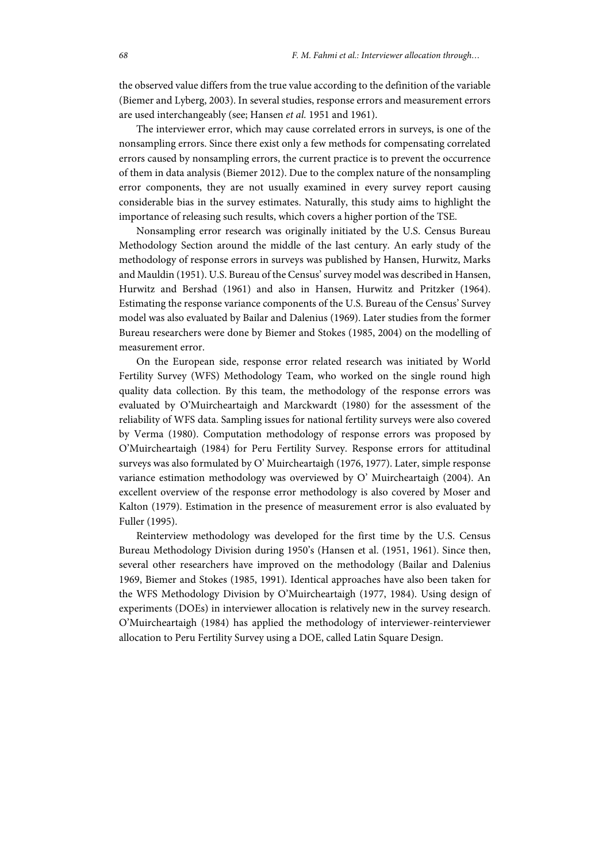the observed value differs from the true value according to the definition of the variable (Biemer and Lyberg, 2003). In several studies, response errors and measurement errors are used interchangeably (see; Hansen *et al.* 1951 and 1961).

The interviewer error, which may cause correlated errors in surveys, is one of the nonsampling errors. Since there exist only a few methods for compensating correlated errors caused by nonsampling errors, the current practice is to prevent the occurrence of them in data analysis (Biemer 2012). Due to the complex nature of the nonsampling error components, they are not usually examined in every survey report causing considerable bias in the survey estimates. Naturally, this study aims to highlight the importance of releasing such results, which covers a higher portion of the TSE.

Nonsampling error research was originally initiated by the U.S. Census Bureau Methodology Section around the middle of the last century. An early study of the methodology of response errors in surveys was published by Hansen, Hurwitz, Marks and Mauldin (1951). U.S. Bureau of the Census' survey model was described in Hansen, Hurwitz and Bershad (1961) and also in Hansen, Hurwitz and Pritzker (1964). Estimating the response variance components of the U.S. Bureau of the Census' Survey model was also evaluated by Bailar and Dalenius (1969). Later studies from the former Bureau researchers were done by Biemer and Stokes (1985, 2004) on the modelling of measurement error.

On the European side, response error related research was initiated by World Fertility Survey (WFS) Methodology Team, who worked on the single round high quality data collection. By this team, the methodology of the response errors was evaluated by O'Muircheartaigh and Marckwardt (1980) for the assessment of the reliability of WFS data. Sampling issues for national fertility surveys were also covered by Verma (1980). Computation methodology of response errors was proposed by O'Muircheartaigh (1984) for Peru Fertility Survey. Response errors for attitudinal surveys was also formulated by O' Muircheartaigh (1976, 1977). Later, simple response variance estimation methodology was overviewed by O' Muircheartaigh (2004). An excellent overview of the response error methodology is also covered by Moser and Kalton (1979). Estimation in the presence of measurement error is also evaluated by Fuller (1995).

Reinterview methodology was developed for the first time by the U.S. Census Bureau Methodology Division during 1950's (Hansen et al. (1951, 1961). Since then, several other researchers have improved on the methodology (Bailar and Dalenius 1969, Biemer and Stokes (1985, 1991). Identical approaches have also been taken for the WFS Methodology Division by O'Muircheartaigh (1977, 1984). Using design of experiments (DOEs) in interviewer allocation is relatively new in the survey research. O'Muircheartaigh (1984) has applied the methodology of interviewer-reinterviewer allocation to Peru Fertility Survey using a DOE, called Latin Square Design.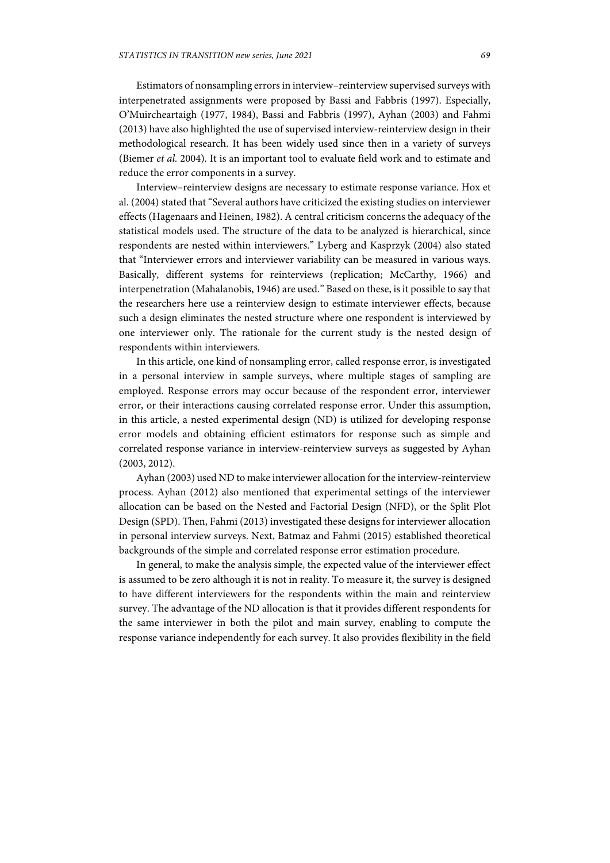Estimators of nonsampling errors in interview–reinterview supervised surveys with interpenetrated assignments were proposed by Bassi and Fabbris (1997). Especially, O'Muircheartaigh (1977, 1984), Bassi and Fabbris (1997), Ayhan (2003) and Fahmi (2013) have also highlighted the use of supervised interview-reinterview design in their methodological research. It has been widely used since then in a variety of surveys (Biemer *et al.* 2004). It is an important tool to evaluate field work and to estimate and reduce the error components in a survey.

Interview–reinterview designs are necessary to estimate response variance. Hox et al. (2004) stated that "Several authors have criticized the existing studies on interviewer effects (Hagenaars and Heinen, 1982). A central criticism concerns the adequacy of the statistical models used. The structure of the data to be analyzed is hierarchical, since respondents are nested within interviewers." Lyberg and Kasprzyk (2004) also stated that "Interviewer errors and interviewer variability can be measured in various ways. Basically, different systems for reinterviews (replication; McCarthy, 1966) and interpenetration (Mahalanobis, 1946) are used." Based on these, is it possible to say that the researchers here use a reinterview design to estimate interviewer effects, because such a design eliminates the nested structure where one respondent is interviewed by one interviewer only. The rationale for the current study is the nested design of respondents within interviewers.

In this article, one kind of nonsampling error, called response error, is investigated in a personal interview in sample surveys, where multiple stages of sampling are employed. Response errors may occur because of the respondent error, interviewer error, or their interactions causing correlated response error. Under this assumption, in this article, a nested experimental design (ND) is utilized for developing response error models and obtaining efficient estimators for response such as simple and correlated response variance in interview-reinterview surveys as suggested by Ayhan (2003, 2012).

Ayhan (2003) used ND to make interviewer allocation for the interview-reinterview process. Ayhan (2012) also mentioned that experimental settings of the interviewer allocation can be based on the Nested and Factorial Design (NFD), or the Split Plot Design (SPD). Then, Fahmi (2013) investigated these designs for interviewer allocation in personal interview surveys. Next, Batmaz and Fahmi (2015) established theoretical backgrounds of the simple and correlated response error estimation procedure.

In general, to make the analysis simple, the expected value of the interviewer effect is assumed to be zero although it is not in reality. To measure it, the survey is designed to have different interviewers for the respondents within the main and reinterview survey. The advantage of the ND allocation is that it provides different respondents for the same interviewer in both the pilot and main survey, enabling to compute the response variance independently for each survey. It also provides flexibility in the field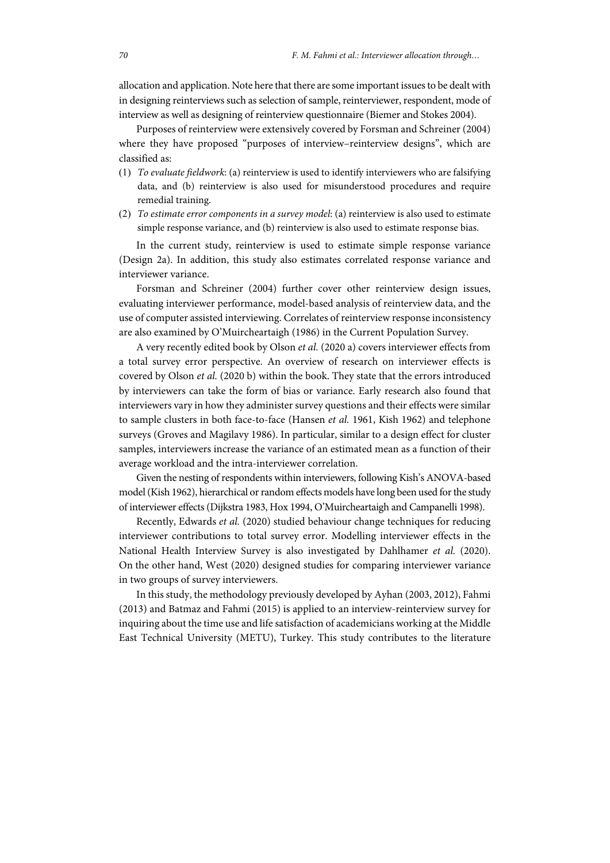allocation and application. Note here that there are some important issues to be dealt with in designing reinterviews such as selection of sample, reinterviewer, respondent, mode of interview as well as designing of reinterview questionnaire (Biemer and Stokes 2004).

Purposes of reinterview were extensively covered by Forsman and Schreiner (2004) where they have proposed "purposes of interview–reinterview designs", which are classified as:

- (1) *To evaluate fieldwork*: (a) reinterview is used to identify interviewers who are falsifying data, and (b) reinterview is also used for misunderstood procedures and require remedial training.
- (2) *To estimate error components in a survey model*: (a) reinterview is also used to estimate simple response variance, and (b) reinterview is also used to estimate response bias.

In the current study, reinterview is used to estimate simple response variance (Design 2a). In addition, this study also estimates correlated response variance and interviewer variance.

Forsman and Schreiner (2004) further cover other reinterview design issues, evaluating interviewer performance, model-based analysis of reinterview data, and the use of computer assisted interviewing. Correlates of reinterview response inconsistency are also examined by O'Muircheartaigh (1986) in the Current Population Survey.

A very recently edited book by Olson *et al.* (2020 a) covers interviewer effects from a total survey error perspective. An overview of research on interviewer effects is covered by Olson *et al.* (2020 b) within the book. They state that the errors introduced by interviewers can take the form of bias or variance. Early research also found that interviewers vary in how they administer survey questions and their effects were similar to sample clusters in both face-to-face (Hansen *et al.* 1961, Kish 1962) and telephone surveys (Groves and Magilavy 1986). In particular, similar to a design effect for cluster samples, interviewers increase the variance of an estimated mean as a function of their average workload and the intra-interviewer correlation.

Given the nesting of respondents within interviewers, following Kish's ANOVA-based model (Kish 1962), hierarchical or random effects models have long been used for the study of interviewer effects (Dijkstra 1983, Hox 1994, O'Muircheartaigh and Campanelli 1998).

Recently, Edwards *et al.* (2020) studied behaviour change techniques for reducing interviewer contributions to total survey error. Modelling interviewer effects in the National Health Interview Survey is also investigated by Dahlhamer *et al.* (2020). On the other hand, West (2020) designed studies for comparing interviewer variance in two groups of survey interviewers.

In this study, the methodology previously developed by Ayhan (2003, 2012), Fahmi (2013) and Batmaz and Fahmi (2015) is applied to an interview-reinterview survey for inquiring about the time use and life satisfaction of academicians working at the Middle East Technical University (METU), Turkey. This study contributes to the literature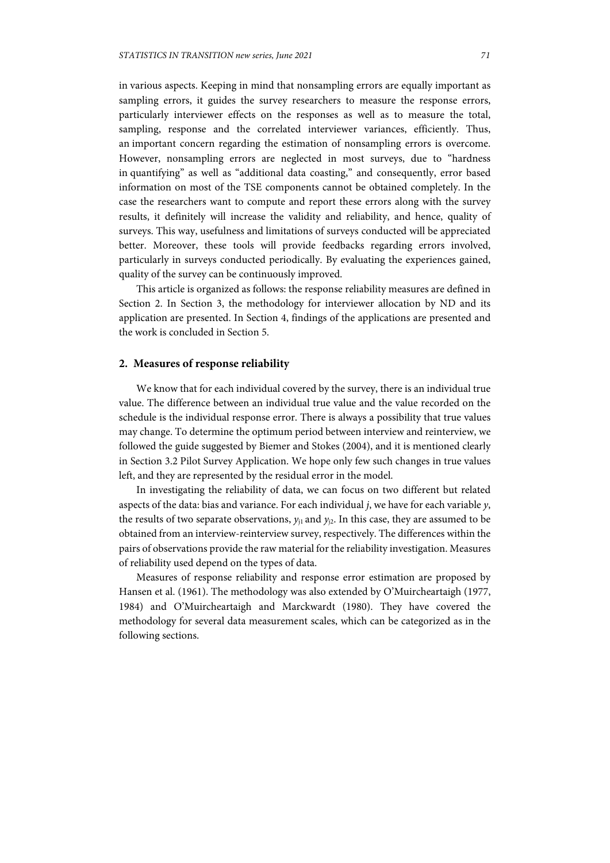in various aspects. Keeping in mind that nonsampling errors are equally important as sampling errors, it guides the survey researchers to measure the response errors, particularly interviewer effects on the responses as well as to measure the total, sampling, response and the correlated interviewer variances, efficiently. Thus, an important concern regarding the estimation of nonsampling errors is overcome. However, nonsampling errors are neglected in most surveys, due to "hardness in quantifying" as well as "additional data coasting," and consequently, error based information on most of the TSE components cannot be obtained completely. In the case the researchers want to compute and report these errors along with the survey results, it definitely will increase the validity and reliability, and hence, quality of surveys. This way, usefulness and limitations of surveys conducted will be appreciated better. Moreover, these tools will provide feedbacks regarding errors involved, particularly in surveys conducted periodically. By evaluating the experiences gained, quality of the survey can be continuously improved.

This article is organized as follows: the response reliability measures are defined in Section 2. In Section 3, the methodology for interviewer allocation by ND and its application are presented. In Section 4, findings of the applications are presented and the work is concluded in Section 5.

# **2. Measures of response reliability**

We know that for each individual covered by the survey, there is an individual true value. The difference between an individual true value and the value recorded on the schedule is the individual response error. There is always a possibility that true values may change. To determine the optimum period between interview and reinterview, we followed the guide suggested by Biemer and Stokes (2004), and it is mentioned clearly in Section 3.2 Pilot Survey Application. We hope only few such changes in true values left, and they are represented by the residual error in the model.

In investigating the reliability of data, we can focus on two different but related aspects of the data: bias and variance. For each individual *j*, we have for each variable *y*, the results of two separate observations,  $y_{11}$  and  $y_{12}$ . In this case, they are assumed to be obtained from an interview-reinterview survey, respectively. The differences within the pairs of observations provide the raw material for the reliability investigation. Measures of reliability used depend on the types of data.

Measures of response reliability and response error estimation are proposed by Hansen et al. (1961). The methodology was also extended by O'Muircheartaigh (1977, 1984) and O'Muircheartaigh and Marckwardt (1980). They have covered the methodology for several data measurement scales, which can be categorized as in the following sections.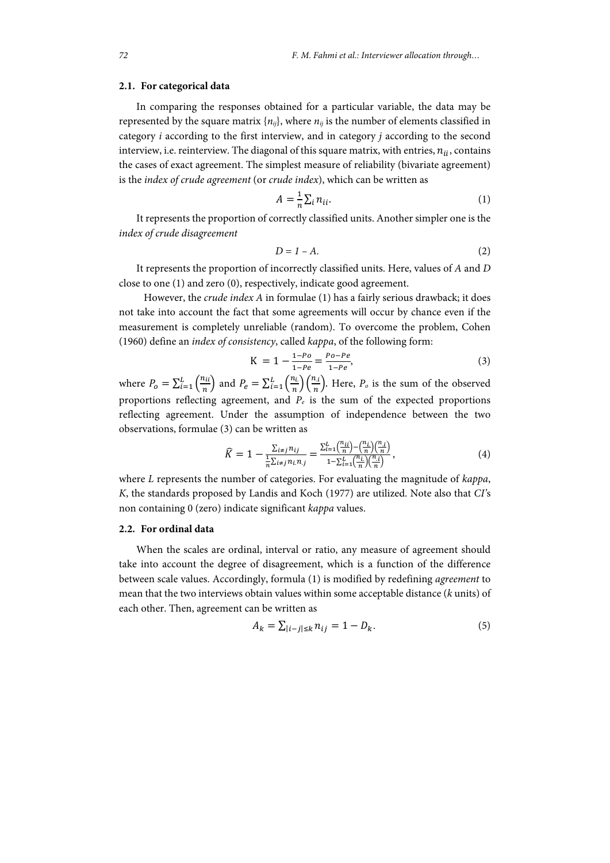#### **2.1. For categorical data**

In comparing the responses obtained for a particular variable, the data may be represented by the square matrix  $\{n_{ij}\}\$ , where  $n_{ij}$  is the number of elements classified in category *i* according to the first interview, and in category *j* according to the second interview, i.e. reinterview. The diagonal of this square matrix, with entries,  $n_{ii}$ , contains the cases of exact agreement. The simplest measure of reliability (bivariate agreement) is the *index of crude agreement* (or *crude index*), which can be written as

$$
A = \frac{1}{n} \sum_{i} n_{ii}.
$$
 (1)

It represents the proportion of correctly classified units. Another simpler one is the *index of crude disagreement*

$$
D = 1 - A.\t\t(2)
$$

It represents the proportion of incorrectly classified units. Here, values of *A* and *D* close to one (1) and zero (0), respectively, indicate good agreement.

 However, the *crude index A* in formulae (1) has a fairly serious drawback; it does not take into account the fact that some agreements will occur by chance even if the measurement is completely unreliable (random). To overcome the problem, Cohen (1960) define an *index of consistency*, called *kappa*, of the following form:

$$
K = 1 - \frac{1 - Po}{1 - Pe} = \frac{Po - Pe}{1 - Pe},
$$
\n(3)

where  $P_o = \sum_{i=1}^{L} \left(\frac{n_{ii}}{n}\right)$  and  $P_e = \sum_{i=1}^{L} \left(\frac{n_i}{n}\right) \left(\frac{n_i}{n}\right)$ . Here,  $P_o$  is the sum of the observed proportions reflecting agreement, and *Pe* is the sum of the expected proportions reflecting agreement. Under the assumption of independence between the two observations, formulae (3) can be written as

$$
\widehat{K} = 1 - \frac{\sum_{i \neq j} n_{ij}}{\frac{1}{n} \sum_{i \neq j} n_{i, n, j}} = \frac{\sum_{i=1}^{L} \left(\frac{n_{i, i}}{n}\right) - \left(\frac{n_{i, i}}{n}\right) \left(\frac{n_{i, i}}{n}\right)}{1 - \sum_{i=1}^{L} \left(\frac{n_{i, i}}{n}\right) \left(\frac{n_{i, i}}{n}\right)},\tag{4}
$$

where *L* represents the number of categories. For evaluating the magnitude of *kappa*, *K*, the standards proposed by Landis and Koch (1977) are utilized. Note also that *CI'*s non containing 0 (zero) indicate significant *kappa* values.

## **2.2. For ordinal data**

When the scales are ordinal, interval or ratio, any measure of agreement should take into account the degree of disagreement, which is a function of the difference between scale values. Accordingly, formula (1) is modified by redefining *agreement* to mean that the two interviews obtain values within some acceptable distance (*k* units) of each other. Then, agreement can be written as

$$
A_k = \sum_{|i-j| \le k} n_{ij} = 1 - D_k. \tag{5}
$$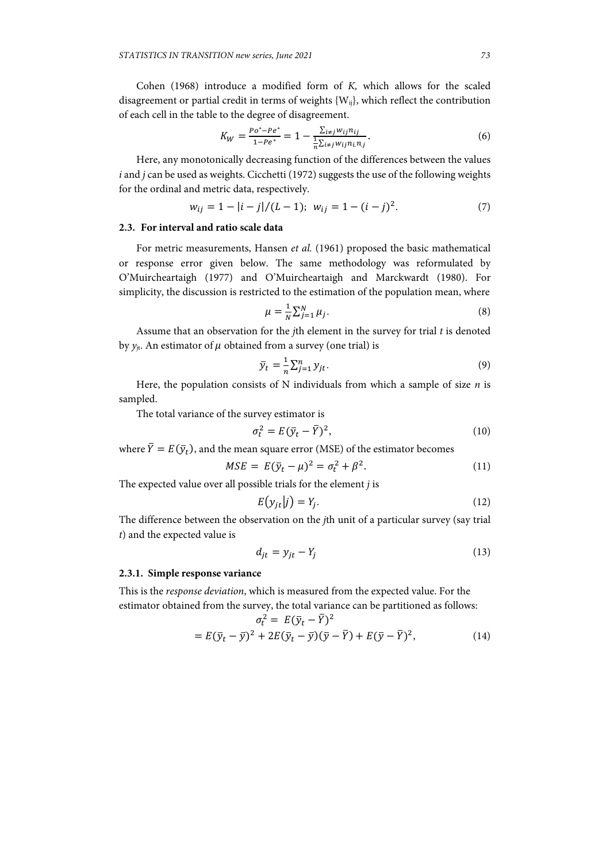Cohen (1968) introduce a modified form of *K,* which allows for the scaled disagreement or partial credit in terms of weights  ${W_{ii}}$ , which reflect the contribution of each cell in the table to the degree of disagreement.

$$
K_W = \frac{Po^* - Pe^*}{1 - Pe^*} = 1 - \frac{\sum_{i \neq j} w_{ij} n_{ij}}{\frac{1}{n} \sum_{i \neq j} w_{ij} n_{i} n_{j}}.
$$
(6)

Here, any monotonically decreasing function of the differences between the values *i* and *j* can be used as weights. Cicchetti (1972) suggests the use of the following weights for the ordinal and metric data, respectively.

$$
w_{ij} = 1 - |i - j| / (L - 1); \quad w_{ij} = 1 - (i - j)^2. \tag{7}
$$

### **2.3. For interval and ratio scale data**

For metric measurements, Hansen *et al.* (1961) proposed the basic mathematical or response error given below. The same methodology was reformulated by O'Muircheartaigh (1977) and O'Muircheartaigh and Marckwardt (1980). For simplicity, the discussion is restricted to the estimation of the population mean, where

$$
\mu = \frac{1}{N} \sum_{j=1}^{N} \mu_j.
$$
\n(8)

Assume that an observation for the *j*th element in the survey for trial *t* is denoted by  $y_{it}$ . An estimator of  $\mu$  obtained from a survey (one trial) is

$$
\bar{y}_t = \frac{1}{n} \sum_{j=1}^n y_{jt}.
$$
\n(9)

Here, the population consists of N individuals from which a sample of size *n* is sampled.

The total variance of the survey estimator is

$$
\sigma_t^2 = E(\bar{y}_t - \bar{Y})^2,\tag{10}
$$

where  $\overline{Y} = E(\overline{y}_t)$ , and the mean square error (MSE) of the estimator becomes

$$
MSE = E(\bar{y}_t - \mu)^2 = \sigma_t^2 + \beta^2.
$$
 (11)

The expected value over all possible trials for the element *j* is

$$
E(y_{jt}|j) = Y_j. \tag{12}
$$

The difference between the observation on the *j*th unit of a particular survey (say trial *t*) and the expected value is

$$
d_{jt} = y_{jt} - Y_j \tag{13}
$$

#### **2.3.1. Simple response variance**

This is the *response deviation*, which is measured from the expected value. For the estimator obtained from the survey, the total variance can be partitioned as follows:

$$
\sigma_t^2 = E(\bar{y}_t - \bar{Y})^2
$$
  
=  $E(\bar{y}_t - \bar{y})^2 + 2E(\bar{y}_t - \bar{y})(\bar{y} - \bar{Y}) + E(\bar{y} - \bar{Y})^2,$  (14)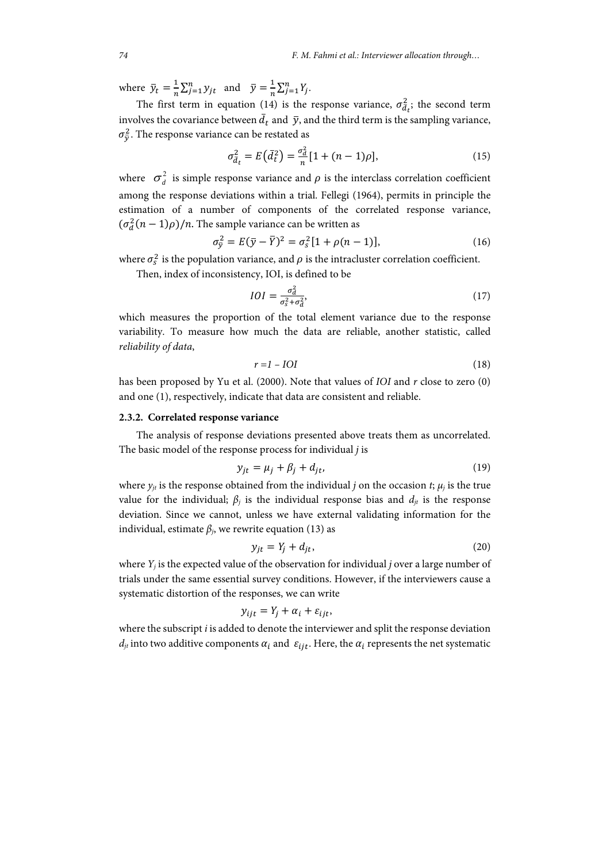where  $\bar{y}_t = \frac{1}{n} \sum_{j=1}^n y_{jt}$  and  $\bar{y} = \frac{1}{n} \sum_{j=1}^n Y_j$ .

The first term in equation (14) is the response variance,  $\sigma_{\bar{d}_t}^2$ ; the second term involves the covariance between  $\bar{d}_t$  and  $\bar{y}$ , and the third term is the sampling variance,  $\sigma_{\bar{y}}^2$ . The response variance can be restated as

$$
\sigma_{d_t}^2 = E(\bar{d}_t^2) = \frac{\sigma_d^2}{n} [1 + (n-1)\rho], \tag{15}
$$

where  $\sigma_d^2$  is simple response variance and  $\rho$  is the interclass correlation coefficient among the response deviations within a trial. Fellegi (1964), permits in principle the estimation of a number of components of the correlated response variance,  $(\sigma_d^2(n-1)\rho)/n$ . The sample variance can be written as

$$
\sigma_{\bar{y}}^2 = E(\bar{y} - \bar{Y})^2 = \sigma_s^2 [1 + \rho(n-1)],
$$
\n(16)

where  $\sigma_s^2$  is the population variance, and  $\rho$  is the intracluster correlation coefficient.

Then, index of inconsistency, IOI, is defined to be

$$
IOI = \frac{\sigma_d^2}{\sigma_s^2 + \sigma_d^2},\tag{17}
$$

which measures the proportion of the total element variance due to the response variability. To measure how much the data are reliable, another statistic, called *reliability of data*,

$$
r = 1 - IOI \tag{18}
$$

has been proposed by Yu et al. (2000). Note that values of *IOI* and *r* close to zero (0) and one (1), respectively, indicate that data are consistent and reliable.

## **2.3.2. Correlated response variance**

The analysis of response deviations presented above treats them as uncorrelated. The basic model of the response process for individual *j* is

$$
y_{jt} = \mu_j + \beta_j + d_{jt},\tag{19}
$$

where  $y_{it}$  is the response obtained from the individual *j* on the occasion *t*;  $\mu_i$  is the true value for the individual;  $β<sub>i</sub>$  is the individual response bias and  $d<sub>it</sub>$  is the response deviation. Since we cannot, unless we have external validating information for the individual, estimate  $\beta_j$ , we rewrite equation (13) as

$$
y_{jt} = Y_j + d_{jt},\tag{20}
$$

where *Yj* is the expected value of the observation for individual *j* over a large number of trials under the same essential survey conditions. However, if the interviewers cause a systematic distortion of the responses, we can write

$$
y_{ijt} = Y_j + \alpha_i + \varepsilon_{ijt},
$$

where the subscript *i* is added to denote the interviewer and split the response deviation  $d_{it}$  into two additive components  $\alpha_i$  and  $\varepsilon_{iit}$ . Here, the  $\alpha_i$  represents the net systematic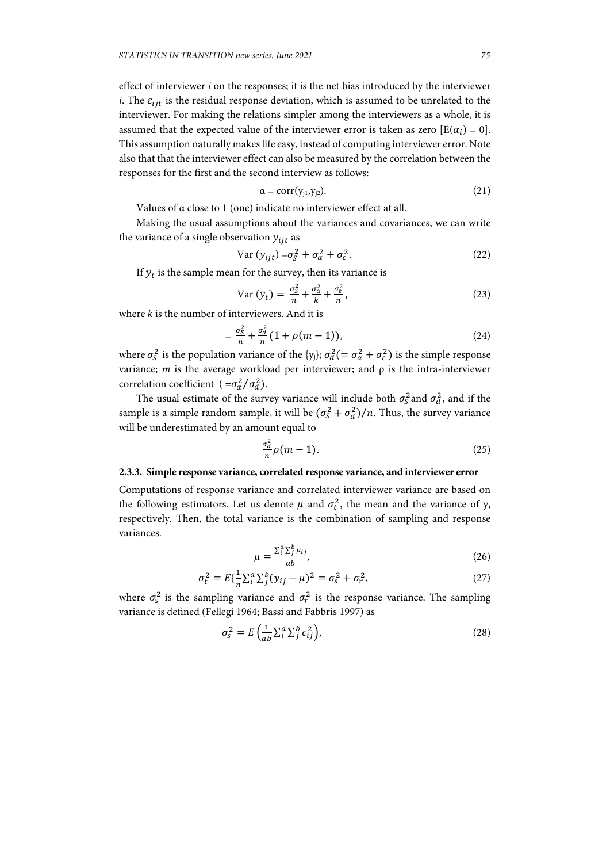effect of interviewer *i* on the responses; it is the net bias introduced by the interviewer *i*. The  $\varepsilon_{i}$  is the residual response deviation, which is assumed to be unrelated to the interviewer. For making the relations simpler among the interviewers as a whole, it is assumed that the expected value of the interviewer error is taken as zero  $[E(\alpha_i) = 0]$ . This assumption naturally makes life easy, instead of computing interviewer error. Note also that that the interviewer effect can also be measured by the correlation between the responses for the first and the second interview as follows:

$$
\alpha = corr(y_{j1}, y_{j2}). \tag{21}
$$

Values of α close to 1 (one) indicate no interviewer effect at all.

Making the usual assumptions about the variances and covariances, we can write the variance of a single observation  $y_{ijt}$  as

$$
Var (y_{ijt}) = \sigma_S^2 + \sigma_\alpha^2 + \sigma_\varepsilon^2.
$$
 (22)

If  $\bar{y}_t$  is the sample mean for the survey, then its variance is

$$
\text{Var}\left(\bar{y}_t\right) = \frac{\sigma_S^2}{n} + \frac{\sigma_\alpha^2}{k} + \frac{\sigma_\epsilon^2}{n},\tag{23}
$$

where *k* is the number of interviewers. And it is

$$
= \frac{\sigma_S^2}{n} + \frac{\sigma_d^2}{n} (1 + \rho(m - 1)), \tag{24}
$$

where  $\sigma_S^2$  is the population variance of the {y<sub>j</sub>};  $\sigma_d^2 (= \sigma_\alpha^2 + \sigma_\varepsilon^2)$  is the simple response variance; *m* is the average workload per interviewer; and  $\rho$  is the intra-interviewer correlation coefficient  $( =\sigma_{\alpha}^2/\sigma_d^2).$ 

The usual estimate of the survey variance will include both  $\sigma_s^2$  and  $\sigma_d^2$ , and if the sample is a simple random sample, it will be  $(\sigma_s^2 + \sigma_d^2)/n$ . Thus, the survey variance will be underestimated by an amount equal to

$$
\frac{\sigma_d^2}{n}\rho(m-1). \tag{25}
$$

#### **2.3.3. Simple response variance, correlated response variance, and interviewer error**

Computations of response variance and correlated interviewer variance are based on the following estimators. Let us denote  $\mu$  and  $\sigma_t^2$ , the mean and the variance of y, respectively. Then, the total variance is the combination of sampling and response variances.

$$
\mu = \frac{\sum_{i}^{a} \sum_{j}^{b} \mu_{ij}}{ab},\tag{26}
$$

$$
\sigma_t^2 = E\{\frac{1}{n}\sum_{i}^{a}\sum_{j}^{b}(y_{ij} - \mu)^2 = \sigma_s^2 + \sigma_r^2,\tag{27}
$$

where  $\sigma_s^2$  is the sampling variance and  $\sigma_r^2$  is the response variance. The sampling variance is defined (Fellegi 1964; Bassi and Fabbris 1997) as

$$
\sigma_s^2 = E\left(\frac{1}{ab}\sum_i^a \sum_j^b c_{ij}^2\right),\tag{28}
$$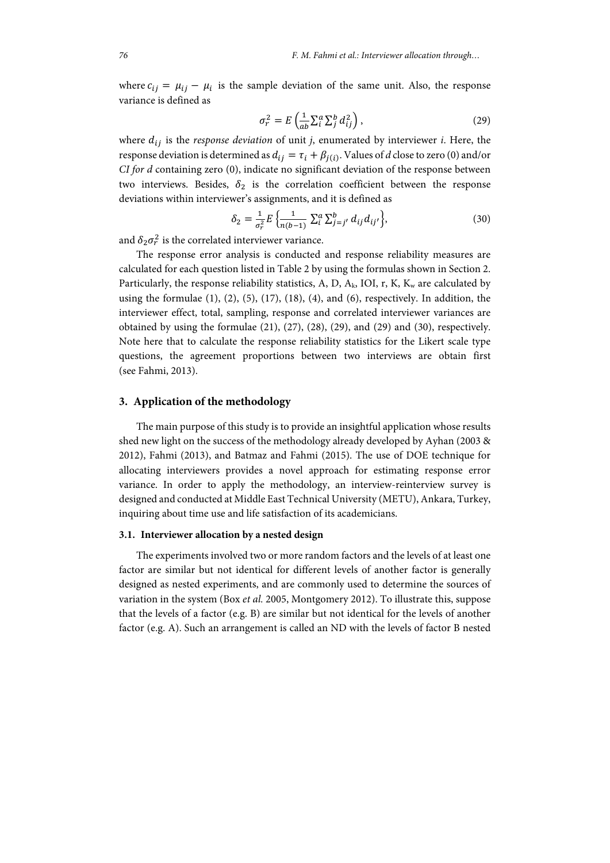where  $c_{ij} = \mu_{ij} - \mu_i$  is the sample deviation of the same unit. Also, the response variance is defined as

$$
\sigma_r^2 = E\left(\frac{1}{ab}\sum_i^a E_j^b d_{ij}^2\right),\tag{29}
$$

where  $d_{ij}$  is the *response deviation* of unit *j*, enumerated by interviewer *i*. Here, the response deviation is determined as  $d_{ij} = \tau_i + \beta_{i(i)}$ . Values of *d* close to zero (0) and/or *CI for d* containing zero (0), indicate no significant deviation of the response between two interviews. Besides,  $\delta_2$  is the correlation coefficient between the response deviations within interviewer's assignments, and it is defined as

$$
\delta_2 = \frac{1}{\sigma_r^2} E \left\{ \frac{1}{n(b-1)} \sum_{i}^{a} \sum_{j=j'}^{b} d_{ij} d_{ij'} \right\},\tag{30}
$$

and  $\delta_2 \sigma_r^2$  is the correlated interviewer variance.

The response error analysis is conducted and response reliability measures are calculated for each question listed in Table 2 by using the formulas shown in Section 2. Particularly, the response reliability statistics, A, D,  $A_k$ , IOI, r, K,  $K_w$  are calculated by using the formulae  $(1)$ ,  $(2)$ ,  $(5)$ ,  $(17)$ ,  $(18)$ ,  $(4)$ , and  $(6)$ , respectively. In addition, the interviewer effect, total, sampling, response and correlated interviewer variances are obtained by using the formulae  $(21)$ ,  $(27)$ ,  $(28)$ ,  $(29)$ , and  $(29)$  and  $(30)$ , respectively. Note here that to calculate the response reliability statistics for the Likert scale type questions, the agreement proportions between two interviews are obtain first (see Fahmi, 2013).

## **3. Application of the methodology**

The main purpose of this study is to provide an insightful application whose results shed new light on the success of the methodology already developed by Ayhan (2003 & 2012), Fahmi (2013), and Batmaz and Fahmi (2015). The use of DOE technique for allocating interviewers provides a novel approach for estimating response error variance. In order to apply the methodology, an interview-reinterview survey is designed and conducted at Middle East Technical University (METU), Ankara, Turkey, inquiring about time use and life satisfaction of its academicians.

#### **3.1. Interviewer allocation by a nested design**

The experiments involved two or more random factors and the levels of at least one factor are similar but not identical for different levels of another factor is generally designed as nested experiments, and are commonly used to determine the sources of variation in the system (Box *et al.* 2005, Montgomery 2012). To illustrate this, suppose that the levels of a factor (e.g. B) are similar but not identical for the levels of another factor (e.g. A). Such an arrangement is called an ND with the levels of factor B nested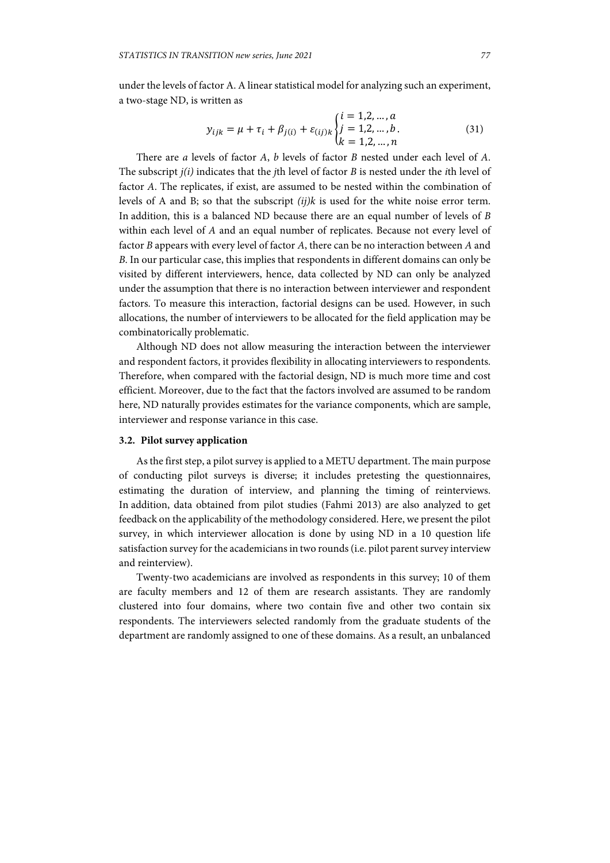under the levels of factor A. A linear statistical model for analyzing such an experiment, a two-stage ND, is written as

$$
y_{ijk} = \mu + \tau_i + \beta_{j(i)} + \varepsilon_{(ij)k} \begin{cases} t = 1, 2, ..., d \\ j = 1, 2, ..., b. \\ k = 1, 2, ..., n \end{cases}
$$
(31)

ൌ 1,2, … ,

There are *a* levels of factor *A*, *b* levels of factor *B* nested under each level of *A*. The subscript *j(i)* indicates that the *j*th level of factor *B* is nested under the *i*th level of factor *A*. The replicates, if exist, are assumed to be nested within the combination of levels of A and B; so that the subscript *(ij)k* is used for the white noise error term. In addition, this is a balanced ND because there are an equal number of levels of *B* within each level of *A* and an equal number of replicates. Because not every level of factor *B* appears with every level of factor *A*, there can be no interaction between *A* and *B*. In our particular case, this implies that respondents in different domains can only be visited by different interviewers, hence, data collected by ND can only be analyzed under the assumption that there is no interaction between interviewer and respondent factors. To measure this interaction, factorial designs can be used. However, in such allocations, the number of interviewers to be allocated for the field application may be combinatorically problematic.

Although ND does not allow measuring the interaction between the interviewer and respondent factors, it provides flexibility in allocating interviewers to respondents. Therefore, when compared with the factorial design, ND is much more time and cost efficient. Moreover, due to the fact that the factors involved are assumed to be random here, ND naturally provides estimates for the variance components, which are sample, interviewer and response variance in this case.

#### **3.2. Pilot survey application**

As the first step, a pilot survey is applied to a METU department. The main purpose of conducting pilot surveys is diverse; it includes pretesting the questionnaires, estimating the duration of interview, and planning the timing of reinterviews. In addition, data obtained from pilot studies (Fahmi 2013) are also analyzed to get feedback on the applicability of the methodology considered. Here, we present the pilot survey, in which interviewer allocation is done by using ND in a 10 question life satisfaction survey for the academicians in two rounds (i.e. pilot parent survey interview and reinterview).

Twenty-two academicians are involved as respondents in this survey; 10 of them are faculty members and 12 of them are research assistants. They are randomly clustered into four domains, where two contain five and other two contain six respondents. The interviewers selected randomly from the graduate students of the department are randomly assigned to one of these domains. As a result, an unbalanced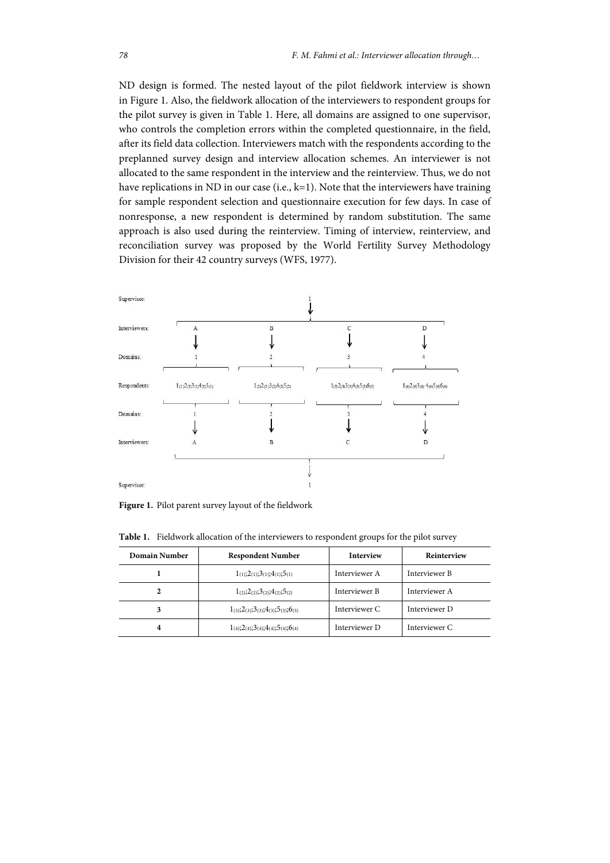ND design is formed. The nested layout of the pilot fieldwork interview is shown in Figure 1. Also, the fieldwork allocation of the interviewers to respondent groups for the pilot survey is given in Table 1. Here, all domains are assigned to one supervisor, who controls the completion errors within the completed questionnaire, in the field, after its field data collection. Interviewers match with the respondents according to the preplanned survey design and interview allocation schemes. An interviewer is not allocated to the same respondent in the interview and the reinterview. Thus, we do not have replications in ND in our case (i.e., k=1). Note that the interviewers have training for sample respondent selection and questionnaire execution for few days. In case of nonresponse, a new respondent is determined by random substitution. The same approach is also used during the reinterview. Timing of interview, reinterview, and reconciliation survey was proposed by the World Fertility Survey Methodology Division for their 42 country surveys (WFS, 1977).



**Figure 1.** Pilot parent survey layout of the fieldwork

**Table 1.** Fieldwork allocation of the interviewers to respondent groups for the pilot survey

| Domain Number | <b>Respondent Number</b>                                  | <b>Interview</b> | Reinterview   |
|---------------|-----------------------------------------------------------|------------------|---------------|
|               | $1_{(1)}$ ; $2_{(1)}$ ; $3_{(1)}$ ; $4_{(1)}$ ; $5_{(1)}$ | Interviewer A    | Interviewer B |
| 2             | $1_{(2)};2_{(2)};3_{(2)};4_{(2)};5_{(2)}$                 | Interviewer B    | Interviewer A |
| 3             | $1_{(3)};2_{(3)};3_{(3)};4_{(3)};5_{(3)};6_{(3)}$         | Interviewer C    | Interviewer D |
| 4             | $1_{(4)};2_{(4)};3_{(4)};4_{(4)};5_{(4)};6_{(4)}$         | Interviewer D    | Interviewer C |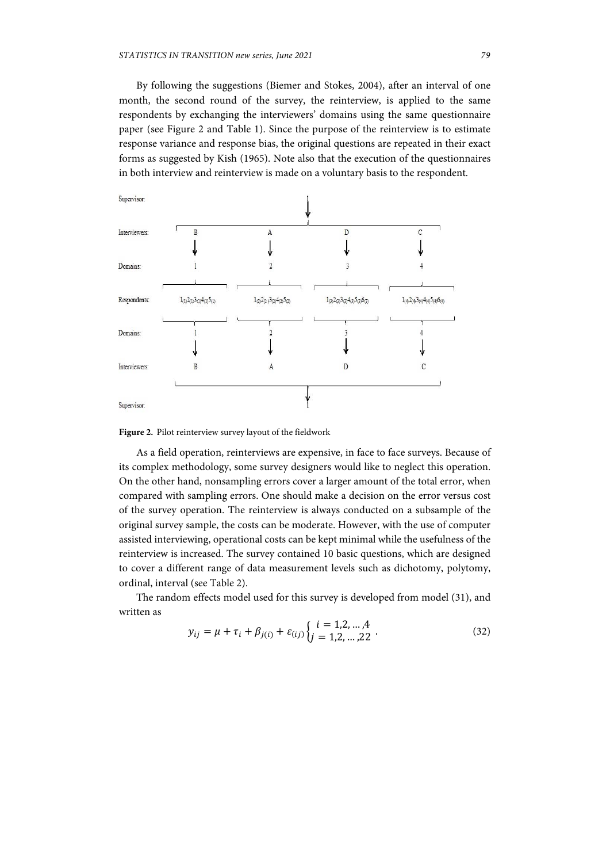By following the suggestions (Biemer and Stokes, 2004), after an interval of one month, the second round of the survey, the reinterview, is applied to the same respondents by exchanging the interviewers' domains using the same questionnaire paper (see Figure 2 and Table 1). Since the purpose of the reinterview is to estimate response variance and response bias, the original questions are repeated in their exact forms as suggested by Kish (1965). Note also that the execution of the questionnaires in both interview and reinterview is made on a voluntary basis to the respondent.



**Figure 2.** Pilot reinterview survey layout of the fieldwork

As a field operation, reinterviews are expensive, in face to face surveys. Because of its complex methodology, some survey designers would like to neglect this operation. On the other hand, nonsampling errors cover a larger amount of the total error, when compared with sampling errors. One should make a decision on the error versus cost of the survey operation. The reinterview is always conducted on a subsample of the original survey sample, the costs can be moderate. However, with the use of computer assisted interviewing, operational costs can be kept minimal while the usefulness of the reinterview is increased. The survey contained 10 basic questions, which are designed to cover a different range of data measurement levels such as dichotomy, polytomy, ordinal, interval (see Table 2).

The random effects model used for this survey is developed from model (31), and written as

$$
y_{ij} = \mu + \tau_i + \beta_{j(i)} + \varepsilon_{(ij)} \begin{cases} i = 1, 2, ..., 4 \\ j = 1, 2, ..., 22 \end{cases} .
$$
 (32)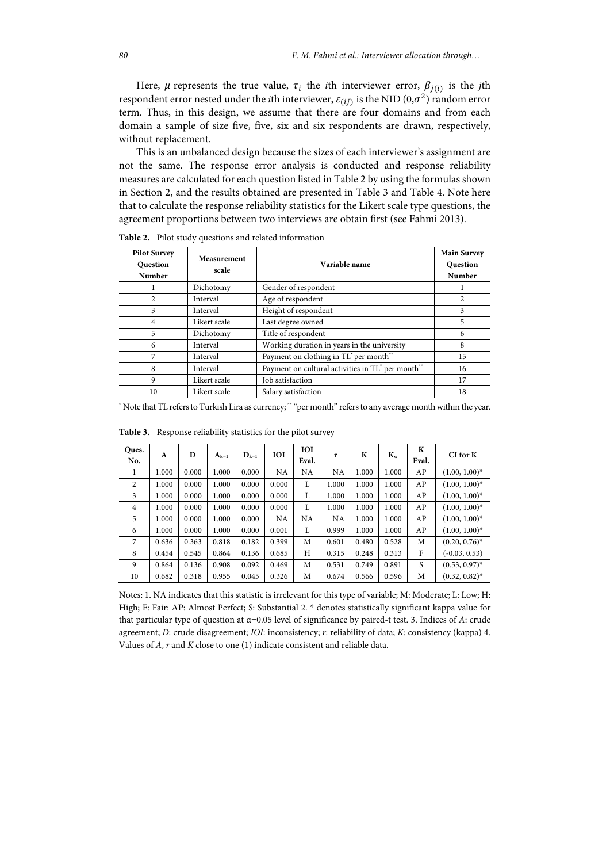Here,  $\mu$  represents the true value,  $\tau_i$  the *i*th interviewer error,  $\beta_{i(i)}$  is the *j*th respondent error nested under the *i*th interviewer,  $\varepsilon$ <sub>(*i*j)</sub> is the NID (0, $\sigma$ <sup>2</sup>) random error term. Thus, in this design, we assume that there are four domains and from each domain a sample of size five, five, six and six respondents are drawn, respectively, without replacement.

This is an unbalanced design because the sizes of each interviewer's assignment are not the same. The response error analysis is conducted and response reliability measures are calculated for each question listed in Table 2 by using the formulas shown in Section 2, and the results obtained are presented in Table 3 and Table 4. Note here that to calculate the response reliability statistics for the Likert scale type questions, the agreement proportions between two interviews are obtain first (see Fahmi 2013).

| <b>Pilot Survey</b><br><b>Question</b><br><b>Number</b> | Measurement<br>scale | Variable name                                                             | <b>Main Survey</b><br><b>Question</b><br><b>Number</b> |
|---------------------------------------------------------|----------------------|---------------------------------------------------------------------------|--------------------------------------------------------|
|                                                         | Dichotomy            | Gender of respondent                                                      |                                                        |
|                                                         | Interval             | Age of respondent                                                         |                                                        |
| 3                                                       | Interval             | Height of respondent                                                      | 3                                                      |
| 4                                                       | Likert scale         | Last degree owned                                                         | 5                                                      |
| 5                                                       | Dichotomy            | Title of respondent                                                       | 6                                                      |
| 6                                                       | Interval             | Working duration in years in the university                               | 8                                                      |
|                                                         | Interval             | Payment on clothing in TL <sup>*</sup> per month <sup>**</sup>            | 15                                                     |
| 8                                                       | Interval             | Payment on cultural activities in TL <sup>*</sup> per month <sup>**</sup> | 16                                                     |
| 9                                                       | Likert scale         | Job satisfaction                                                          | 17                                                     |
| 10                                                      | Likert scale         | Salary satisfaction                                                       | 18                                                     |

**Table 2.** Pilot study questions and related information

\* Note that TL refers to Turkish Lira as currency; \*\* "per month" refers to any average month within the year.

| Ques.<br>No.   | A     | D     | $A_{k=1}$ | $D_{k=1}$ | <b>IOI</b> | <b>IOI</b><br>Eval. | r         | K     | $K_{w}$ | К<br>Eval. | $CI$ for $K$     |
|----------------|-------|-------|-----------|-----------|------------|---------------------|-----------|-------|---------|------------|------------------|
|                | 1.000 | 0.000 | 1.000     | 0.000     | NA         | <b>NA</b>           | <b>NA</b> | 1.000 | 1.000   | AP         | $(1.00, 1.00)^*$ |
| $\overline{c}$ | 1.000 | 0.000 | 1.000     | 0.000     | 0.000      | L                   | 1.000     | 1.000 | 1.000   | AP         | $(1.00, 1.00)^*$ |
| 3              | 1.000 | 0.000 | 1.000     | 0.000     | 0.000      | L                   | 1.000     | 1.000 | 1.000   | AP         | $(1.00, 1.00)^*$ |
| 4              | 1.000 | 0.000 | 1.000     | 0.000     | 0.000      | L                   | 1.000     | 1.000 | 1.000   | AP         | $(1.00, 1.00)^*$ |
| 5              | 1.000 | 0.000 | 1.000     | 0.000     | NA         | <b>NA</b>           | <b>NA</b> | 1.000 | 1.000   | AP         | $(1.00, 1.00)^*$ |
| 6              | 1.000 | 0.000 | 1.000     | 0.000     | 0.001      | L                   | 0.999     | 1.000 | 1.000   | AP         | $(1.00, 1.00)^*$ |
| 7              | 0.636 | 0.363 | 0.818     | 0.182     | 0.399      | M                   | 0.601     | 0.480 | 0.528   | M          | $(0.20, 0.76)^*$ |
| 8              | 0.454 | 0.545 | 0.864     | 0.136     | 0.685      | Н                   | 0.315     | 0.248 | 0.313   | F          | $(-0.03, 0.53)$  |
| 9              | 0.864 | 0.136 | 0.908     | 0.092     | 0.469      | M                   | 0.531     | 0.749 | 0.891   | S          | $(0.53, 0.97)^*$ |
| 10             | 0.682 | 0.318 | 0.955     | 0.045     | 0.326      | M                   | 0.674     | 0.566 | 0.596   | M          | $(0.32, 0.82)^*$ |

**Table 3.** Response reliability statistics for the pilot survey

Notes: 1. NA indicates that this statistic is irrelevant for this type of variable; M: Moderate; L: Low; H: High; F: Fair: AP: Almost Perfect; S: Substantial 2. \* denotes statistically significant kappa value for that particular type of question at α=0.05 level of significance by paired-t test. 3. Indices of *A*: crude agreement; *D*: crude disagreement; *IOI*: inconsistency; *r*: reliability of data; *K:* consistency (kappa) 4. Values of *A*, *r* and *K* close to one (1) indicate consistent and reliable data.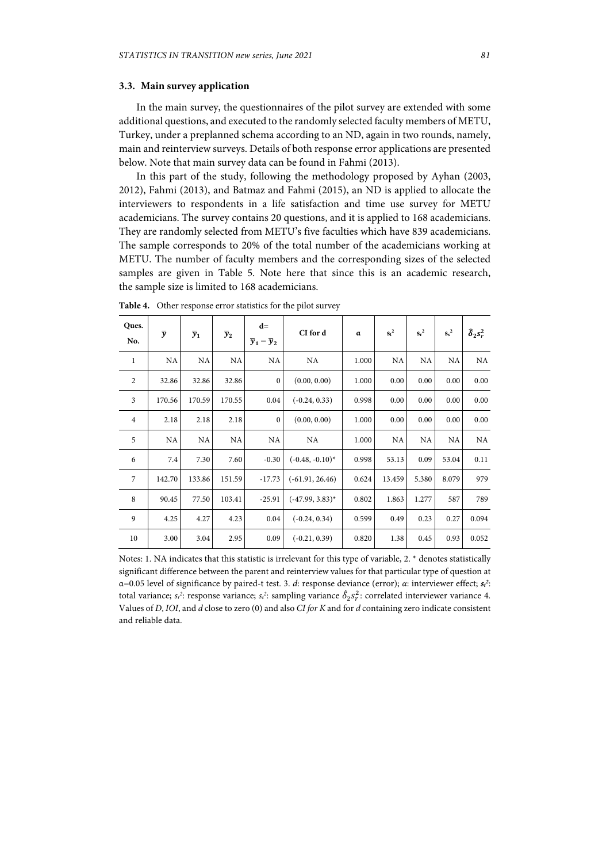## **3.3. Main survey application**

In the main survey, the questionnaires of the pilot survey are extended with some additional questions, and executed to the randomly selected faculty members of METU, Turkey, under a preplanned schema according to an ND, again in two rounds, namely, main and reinterview surveys. Details of both response error applications are presented below. Note that main survey data can be found in Fahmi (2013).

In this part of the study, following the methodology proposed by Ayhan (2003, 2012), Fahmi (2013), and Batmaz and Fahmi (2015), an ND is applied to allocate the interviewers to respondents in a life satisfaction and time use survey for METU academicians. The survey contains 20 questions, and it is applied to 168 academicians. They are randomly selected from METU's five faculties which have 839 academicians. The sample corresponds to 20% of the total number of the academicians working at METU. The number of faculty members and the corresponding sizes of the selected samples are given in Table 5. Note here that since this is an academic research, the sample size is limited to 168 academicians.

| Ques.<br>No.            | $\overline{y}$ | $\overline{y}_1$ | $\overline{y}_2$ | $d=$<br>$\overline{y}_1-\overline{y}_2$ | CI for d           | $\alpha$ | $s_t^2$ | $s_r^2$ | $s^2$ | $\hat{\delta}_2 s_r^2$ |
|-------------------------|----------------|------------------|------------------|-----------------------------------------|--------------------|----------|---------|---------|-------|------------------------|
| 1                       | NA             | NA               | NA               | NA                                      | NA.                | 1.000    | NA      | NA      | NA    | NA                     |
| $\overline{2}$          | 32.86          | 32.86            | 32.86            | $\mathbf{0}$                            | (0.00, 0.00)       | 1.000    | 0.00    | 0.00    | 0.00  | 0.00                   |
| $\overline{\mathbf{3}}$ | 170.56         | 170.59           | 170.55           | 0.04                                    | $(-0.24, 0.33)$    | 0.998    | 0.00    | 0.00    | 0.00  | 0.00                   |
| $\overline{4}$          | 2.18           | 2.18             | 2.18             | $\mathbf{0}$                            | (0.00, 0.00)       | 1.000    | 0.00    | 0.00    | 0.00  | 0.00                   |
| 5                       | NA             | NA               | NA               | NA                                      | NA.                | 1.000    | NA      | NA      | NA    | NA                     |
| 6                       | 7.4            | 7.30             | 7.60             | $-0.30$                                 | $(-0.48, -0.10)^*$ | 0.998    | 53.13   | 0.09    | 53.04 | 0.11                   |
| 7                       | 142.70         | 133.86           | 151.59           | $-17.73$                                | $(-61.91, 26.46)$  | 0.624    | 13.459  | 5.380   | 8.079 | 979                    |
| 8                       | 90.45          | 77.50            | 103.41           | $-25.91$                                | $(-47.99, 3.83)^*$ | 0.802    | 1.863   | 1.277   | 587   | 789                    |
| 9                       | 4.25           | 4.27             | 4.23             | 0.04                                    | $(-0.24, 0.34)$    | 0.599    | 0.49    | 0.23    | 0.27  | 0.094                  |
| 10                      | 3.00           | 3.04             | 2.95             | 0.09                                    | $(-0.21, 0.39)$    | 0.820    | 1.38    | 0.45    | 0.93  | 0.052                  |

**Table 4.** Other response error statistics for the pilot survey

Notes: 1. NA indicates that this statistic is irrelevant for this type of variable, 2. \* denotes statistically significant difference between the parent and reinterview values for that particular type of question at α=0.05 level of significance by paired-t test. 3. *d*: response deviance (error); *α*: interviewer effect; *st 2* : total variance;  $s_r^2$ : response variance;  $s_s^2$ : sampling variance  $\hat{\delta}_2 s_r^2$ : correlated interviewer variance 4. Values of *D*, *IOI*, and *d* close to zero (0) and also *CI for K* and for *d* containing zero indicate consistent and reliable data.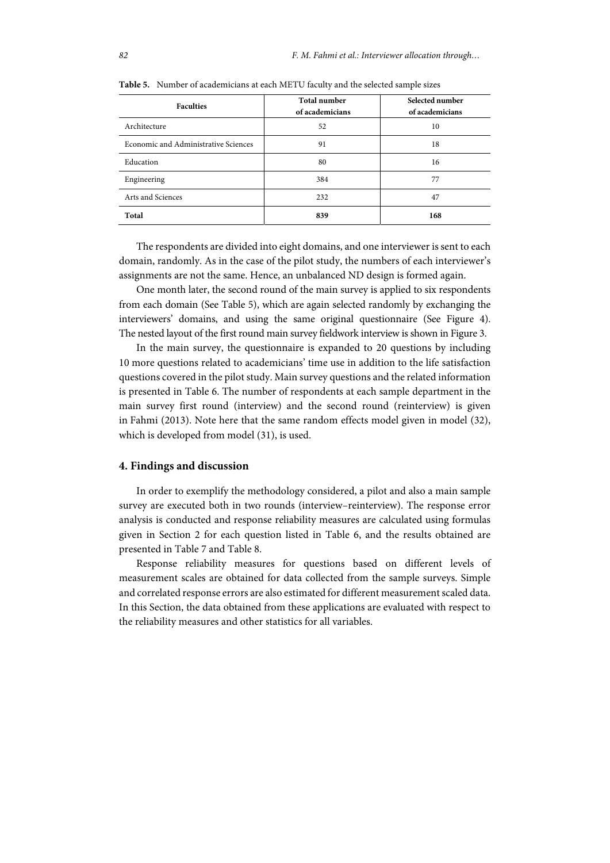| <b>Faculties</b>                     | <b>Total number</b><br>of academicians | Selected number<br>of academicians |  |  |
|--------------------------------------|----------------------------------------|------------------------------------|--|--|
| Architecture                         | 52                                     | 10                                 |  |  |
| Economic and Administrative Sciences | 91                                     | 18                                 |  |  |
| Education                            | 80                                     | 16                                 |  |  |
| Engineering                          | 384                                    | 77                                 |  |  |
| Arts and Sciences                    | 232                                    | 47                                 |  |  |
| Total                                | 839                                    | 168                                |  |  |

**Table 5.** Number of academicians at each METU faculty and the selected sample sizes

The respondents are divided into eight domains, and one interviewer is sent to each domain, randomly. As in the case of the pilot study, the numbers of each interviewer's assignments are not the same. Hence, an unbalanced ND design is formed again.

One month later, the second round of the main survey is applied to six respondents from each domain (See Table 5), which are again selected randomly by exchanging the interviewers' domains, and using the same original questionnaire (See Figure 4). The nested layout of the first round main survey fieldwork interview is shown in Figure 3.

In the main survey, the questionnaire is expanded to 20 questions by including 10 more questions related to academicians' time use in addition to the life satisfaction questions covered in the pilot study. Main survey questions and the related information is presented in Table 6. The number of respondents at each sample department in the main survey first round (interview) and the second round (reinterview) is given in Fahmi (2013). Note here that the same random effects model given in model (32), which is developed from model (31), is used.

## **4. Findings and discussion**

In order to exemplify the methodology considered, a pilot and also a main sample survey are executed both in two rounds (interview–reinterview). The response error analysis is conducted and response reliability measures are calculated using formulas given in Section 2 for each question listed in Table 6, and the results obtained are presented in Table 7 and Table 8.

Response reliability measures for questions based on different levels of measurement scales are obtained for data collected from the sample surveys. Simple and correlated response errors are also estimated for different measurement scaled data. In this Section, the data obtained from these applications are evaluated with respect to the reliability measures and other statistics for all variables.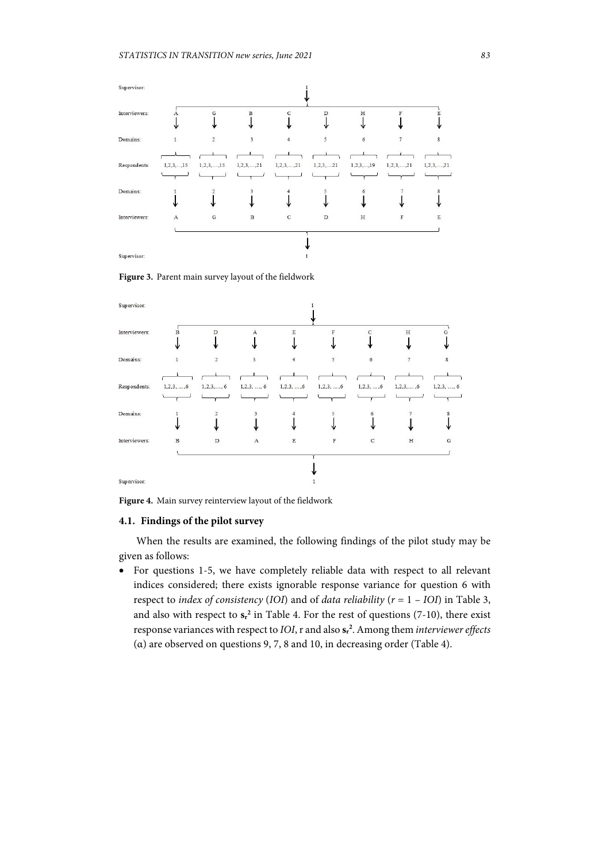

**Figure 3.** Parent main survey layout of the fieldwork



**Figure 4.** Main survey reinterview layout of the fieldwork

## **4.1. Findings of the pilot survey**

When the results are examined, the following findings of the pilot study may be given as follows:

• For questions 1-5, we have completely reliable data with respect to all relevant indices considered; there exists ignorable response variance for question 6 with respect to *index of consistency* (*IOI*) and of *data reliability* (*r* = 1 – *IOI*) in Table 3, and also with respect to  $s_r^2$  in Table 4. For the rest of questions (7-10), there exist response variances with respect to *IOI*, r and also **sr 2** . Among them *interviewer effects* (α) are observed on questions 9, 7, 8 and 10, in decreasing order (Table 4).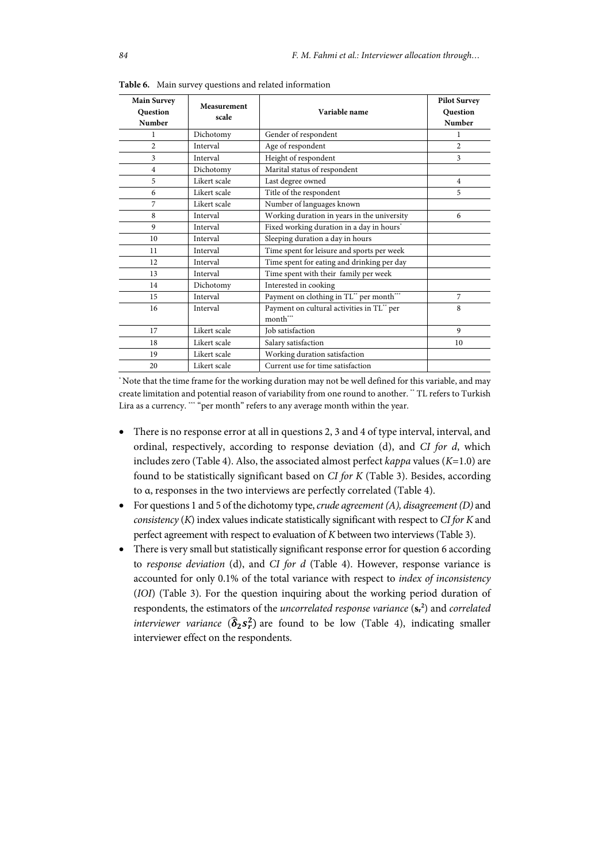| <b>Main Survey</b><br><b>Question</b><br><b>Number</b> | Measurement<br>scale | Variable name                                          | <b>Pilot Survey</b><br><b>Question</b><br>Number |
|--------------------------------------------------------|----------------------|--------------------------------------------------------|--------------------------------------------------|
| 1                                                      | Dichotomy            | Gender of respondent                                   | 1                                                |
| $\overline{c}$                                         | Interval             | Age of respondent                                      | $\overline{c}$                                   |
| 3                                                      | Interval             | Height of respondent                                   | 3                                                |
| $\overline{4}$                                         | Dichotomy            | Marital status of respondent                           |                                                  |
| 5                                                      | Likert scale         | Last degree owned                                      | $\overline{4}$                                   |
| 6                                                      | Likert scale         | Title of the respondent                                | 5                                                |
| 7                                                      | Likert scale         | Number of languages known                              |                                                  |
| 8                                                      | Interval             | Working duration in years in the university            | 6                                                |
| 9                                                      | Interval             | Fixed working duration in a day in hours <sup>*</sup>  |                                                  |
| 10                                                     | Interval             | Sleeping duration a day in hours                       |                                                  |
| 11                                                     | Interval             | Time spent for leisure and sports per week             |                                                  |
| 12                                                     | Interval             | Time spent for eating and drinking per day             |                                                  |
| 13                                                     | Interval             | Time spent with their family per week                  |                                                  |
| 14                                                     | Dichotomy            | Interested in cooking                                  |                                                  |
| 15                                                     | Interval             | Payment on clothing in TL** per month***               | $\overline{7}$                                   |
| 16                                                     | Interval             | Payment on cultural activities in TL** per<br>month*** | 8                                                |
| 17                                                     | Likert scale         | Job satisfaction                                       | $\mathbf{Q}$                                     |
| 18                                                     | Likert scale         | Salary satisfaction                                    | 10                                               |
| 19                                                     | Likert scale         | Working duration satisfaction                          |                                                  |
| 20                                                     | Likert scale         | Current use for time satisfaction                      |                                                  |

**Table 6.** Main survey questions and related information

\* Note that the time frame for the working duration may not be well defined for this variable, and may create limitation and potential reason of variability from one round to another. \*\* TL refers to Turkish Lira as a currency. \*\*\* "per month" refers to any average month within the year.

- There is no response error at all in questions 2, 3 and 4 of type interval, interval, and ordinal, respectively, according to response deviation (d), and *CI for d*, which includes zero (Table 4). Also, the associated almost perfect *kappa* values (*K*=1.0) are found to be statistically significant based on *CI for K* (Table 3). Besides, according to α, responses in the two interviews are perfectly correlated (Table 4).
- For questions 1 and 5 of the dichotomy type, *crude agreement (A), disagreement(D)* and *consistency* (*K*) index values indicate statistically significant with respect to *CI for K* and perfect agreement with respect to evaluation of *K* between two interviews (Table 3).
- There is very small but statistically significant response error for question 6 according to *response deviation* (d), and *CI for d* (Table 4). However, response variance is accounted for only 0.1% of the total variance with respect to *index of inconsistency* (*IOI*) (Table 3). For the question inquiring about the working period duration of respondents, the estimators of the *uncorrelated response variance* (**sr 2** ) and *correlated interviewer variance*  $(\hat{\delta}_2 s_r^2)$  are found to be low (Table 4), indicating smaller interviewer effect on the respondents.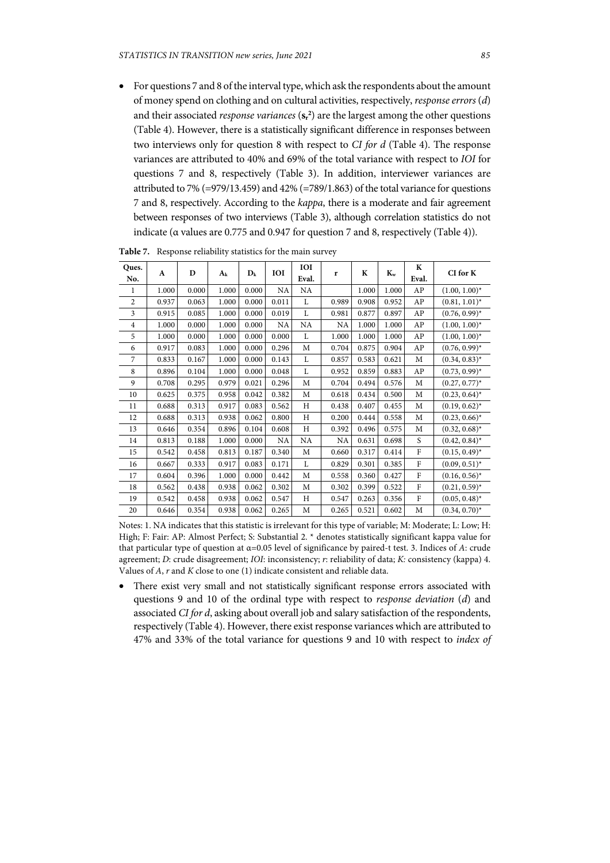• For questions 7 and 8 of the interval type, which ask the respondents about the amount of money spend on clothing and on cultural activities, respectively, *response errors* (*d*) and their associated *response variances* ( $s_r^2$ ) are the largest among the other questions (Table 4). However, there is a statistically significant difference in responses between two interviews only for question 8 with respect to *CI for d* (Table 4). The response variances are attributed to 40% and 69% of the total variance with respect to *IOI* for questions 7 and 8, respectively (Table 3). In addition, interviewer variances are attributed to 7% (=979/13.459) and 42% (=789/1.863) of the total variance for questions 7 and 8, respectively. According to the *kappa*, there is a moderate and fair agreement between responses of two interviews (Table 3), although correlation statistics do not indicate (α values are 0.775 and 0.947 for question 7 and 8, respectively (Table 4)).

| Ques.<br>No.   | A     | D     | A <sub>k</sub> | $D_k$ | <b>IOI</b> | IOI<br>Eval. | r         | K     | $K_{w}$ | K<br>Eval. | CI for K         |
|----------------|-------|-------|----------------|-------|------------|--------------|-----------|-------|---------|------------|------------------|
| 1              | 1.000 | 0.000 | 1.000          | 0.000 | NA         | NA           |           | 1.000 | 1.000   | AP         | $(1.00, 1.00)^*$ |
| $\overline{2}$ | 0.937 | 0.063 | 1.000          | 0.000 | 0.011      | L            | 0.989     | 0.908 | 0.952   | AP         | $(0.81, 1.01)^*$ |
| 3              | 0.915 | 0.085 | 1.000          | 0.000 | 0.019      | L            | 0.981     | 0.877 | 0.897   | AP         | $(0.76, 0.99)^*$ |
| $\overline{4}$ | 1.000 | 0.000 | 1.000          | 0.000 | NA         | NA           | <b>NA</b> | 1.000 | 1.000   | AP         | $(1.00, 1.00)^*$ |
| 5              | 1.000 | 0.000 | 1.000          | 0.000 | 0.000      | L            | 1.000     | 1.000 | 1.000   | AP         | $(1.00, 1.00)^*$ |
| 6              | 0.917 | 0.083 | 1.000          | 0.000 | 0.296      | M            | 0.704     | 0.875 | 0.904   | AP         | $(0.76, 0.99)^*$ |
| 7              | 0.833 | 0.167 | 1.000          | 0.000 | 0.143      | L            | 0.857     | 0.583 | 0.621   | M          | $(0.34, 0.83)^*$ |
| 8              | 0.896 | 0.104 | 1.000          | 0.000 | 0.048      | L            | 0.952     | 0.859 | 0.883   | AP         | $(0.73, 0.99)^*$ |
| 9              | 0.708 | 0.295 | 0.979          | 0.021 | 0.296      | M            | 0.704     | 0.494 | 0.576   | M          | $(0.27, 0.77)^*$ |
| 10             | 0.625 | 0.375 | 0.958          | 0.042 | 0.382      | M            | 0.618     | 0.434 | 0.500   | M          | $(0.23, 0.64)^*$ |
| 11             | 0.688 | 0.313 | 0.917          | 0.083 | 0.562      | H            | 0.438     | 0.407 | 0.455   | M          | $(0.19, 0.62)^*$ |
| 12             | 0.688 | 0.313 | 0.938          | 0.062 | 0.800      | Η            | 0.200     | 0.444 | 0.558   | M          | $(0.23, 0.66)^*$ |
| 13             | 0.646 | 0.354 | 0.896          | 0.104 | 0.608      | Η            | 0.392     | 0.496 | 0.575   | M          | $(0.32, 0.68)^*$ |
| 14             | 0.813 | 0.188 | 1.000          | 0.000 | NA         | NA           | NA        | 0.631 | 0.698   | S          | $(0.42, 0.84)^*$ |
| 15             | 0.542 | 0.458 | 0.813          | 0.187 | 0.340      | М            | 0.660     | 0.317 | 0.414   | ${\rm F}$  | $(0.15, 0.49)^*$ |
| 16             | 0.667 | 0.333 | 0.917          | 0.083 | 0.171      | L            | 0.829     | 0.301 | 0.385   | F          | $(0.09, 0.51)^*$ |
| 17             | 0.604 | 0.396 | 1.000          | 0.000 | 0.442      | М            | 0.558     | 0.360 | 0.427   | ${\rm F}$  | $(0.16, 0.56)^*$ |
| 18             | 0.562 | 0.438 | 0.938          | 0.062 | 0.302      | М            | 0.302     | 0.399 | 0.522   | F          | $(0.21, 0.59)^*$ |
| 19             | 0.542 | 0.458 | 0.938          | 0.062 | 0.547      | H            | 0.547     | 0.263 | 0.356   | ${\rm F}$  | $(0.05, 0.48)^*$ |
| 20             | 0.646 | 0.354 | 0.938          | 0.062 | 0.265      | М            | 0.265     | 0.521 | 0.602   | M          | $(0.34, 0.70)^*$ |

**Table 7.** Response reliability statistics for the main survey

Notes: 1. NA indicates that this statistic is irrelevant for this type of variable; M: Moderate; L: Low; H: High; F: Fair: AP: Almost Perfect; S: Substantial 2. \* denotes statistically significant kappa value for that particular type of question at α=0.05 level of significance by paired-t test. 3. Indices of *A*: crude agreement; *D*: crude disagreement; *IOI*: inconsistency; *r*: reliability of data; *K:* consistency (kappa) 4. Values of *A*, *r* and *K* close to one (1) indicate consistent and reliable data.

 There exist very small and not statistically significant response errors associated with questions 9 and 10 of the ordinal type with respect to *response deviation* (*d*) and associated *CI for d*, asking about overall job and salary satisfaction of the respondents, respectively (Table 4). However, there exist response variances which are attributed to 47% and 33% of the total variance for questions 9 and 10 with respect to *index of*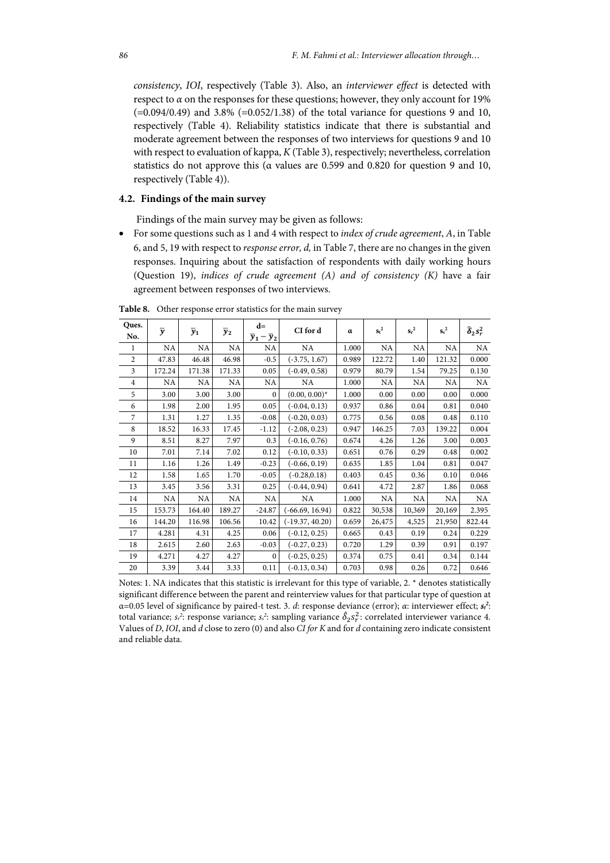*consistency*, *IOI*, respectively (Table 3). Also, an *interviewer effect* is detected with respect to  $\alpha$  on the responses for these questions; however, they only account for 19%  $(=0.094/0.49)$  and 3.8%  $(=0.052/1.38)$  of the total variance for questions 9 and 10, respectively (Table 4). Reliability statistics indicate that there is substantial and moderate agreement between the responses of two interviews for questions 9 and 10 with respect to evaluation of kappa, *K* (Table 3), respectively; nevertheless, correlation statistics do not approve this (α values are 0.599 and 0.820 for question 9 and 10, respectively (Table 4)).

# **4.2. Findings of the main survey**

Findings of the main survey may be given as follows:

 For some questions such as 1 and 4 with respect to *index of crude agreement*, *A*, in Table 6, and 5, 19 with respect to *response error, d,* in Table 7, there are no changes in the given responses. Inquiring about the satisfaction of respondents with daily working hours (Question 19), *indices of crude agreement (A) and of consistency (K)* have a fair agreement between responses of two interviews.

| Ques.          | $\overline{y}$ |             |                  | $d=$                            | CI for d          | α     | $s_t^2$ | $s_r^2$ | $s^2$  |                                         |
|----------------|----------------|-------------|------------------|---------------------------------|-------------------|-------|---------|---------|--------|-----------------------------------------|
| No.            |                | $\bar{y}_1$ | $\overline{y}_2$ | $\overline{y}_1-\overline{y}_2$ |                   |       |         |         |        | $\widehat{\boldsymbol{\delta}}_2 s_r^2$ |
| 1              | NA             | NA          | NA               | NA                              | NA                | 1.000 | NA      | NA      | NA     | NA                                      |
| $\overline{2}$ | 47.83          | 46.48       | 46.98            | $-0.5$                          | $(-3.75, 1.67)$   | 0.989 | 122.72  | 1.40    | 121.32 | 0.000                                   |
| 3              | 172.24         | 171.38      | 171.33           | 0.05                            | $(-0.49, 0.58)$   | 0.979 | 80.79   | 1.54    | 79.25  | 0.130                                   |
| $\overline{4}$ | NA             | NA          | NA               | NA                              | NA.               | 1.000 | NA      | NA      | NA     | NA.                                     |
| 5              | 3.00           | 3.00        | 3.00             | $\mathbf{0}$                    | $(0.00, 0.00)^*$  | 1.000 | 0.00    | 0.00    | 0.00   | 0.000                                   |
| 6              | 1.98           | 2.00        | 1.95             | 0.05                            | $(-0.04, 0.13)$   | 0.937 | 0.86    | 0.04    | 0.81   | 0.040                                   |
| 7              | 1.31           | 1.27        | 1.35             | $-0.08$                         | $(-0.20, 0.03)$   | 0.775 | 0.56    | 0.08    | 0.48   | 0.110                                   |
| 8              | 18.52          | 16.33       | 17.45            | $-1.12$                         | $(-2.08, 0.23)$   | 0.947 | 146.25  | 7.03    | 139.22 | 0.004                                   |
| 9              | 8.51           | 8.27        | 7.97             | 0.3                             | $(-0.16, 0.76)$   | 0.674 | 4.26    | 1.26    | 3.00   | 0.003                                   |
| 10             | 7.01           | 7.14        | 7.02             | 0.12                            | $(-0.10, 0.33)$   | 0.651 | 0.76    | 0.29    | 0.48   | 0.002                                   |
| 11             | 1.16           | 1.26        | 1.49             | $-0.23$                         | $(-0.66, 0.19)$   | 0.635 | 1.85    | 1.04    | 0.81   | 0.047                                   |
| 12             | 1.58           | 1.65        | 1.70             | $-0.05$                         | $(-0.28, 0.18)$   | 0.403 | 0.45    | 0.36    | 0.10   | 0.046                                   |
| 13             | 3.45           | 3.56        | 3.31             | 0.25                            | $(-0.44, 0.94)$   | 0.641 | 4.72    | 2.87    | 1.86   | 0.068                                   |
| 14             | NA             | NA          | NA               | NA                              | NA                | 1.000 | NA      | NA      | NA     | NA                                      |
| 15             | 153.73         | 164.40      | 189.27           | $-24.87$                        | $(-66.69, 16.94)$ | 0.822 | 30,538  | 10,369  | 20,169 | 2.395                                   |
| 16             | 144.20         | 116.98      | 106.56           | 10.42                           | $(-19.37, 40.20)$ | 0.659 | 26,475  | 4,525   | 21,950 | 822.44                                  |
| 17             | 4.281          | 4.31        | 4.25             | 0.06                            | $(-0.12, 0.25)$   | 0.665 | 0.43    | 0.19    | 0.24   | 0.229                                   |
| 18             | 2.615          | 2.60        | 2.63             | $-0.03$                         | $(-0.27, 0.23)$   | 0.720 | 1.29    | 0.39    | 0.91   | 0.197                                   |
| 19             | 4.271          | 4.27        | 4.27             | $\mathbf{0}$                    | $(-0.25, 0.25)$   | 0.374 | 0.75    | 0.41    | 0.34   | 0.144                                   |
| 20             | 3.39           | 3.44        | 3.33             | 0.11                            | $(-0.13, 0.34)$   | 0.703 | 0.98    | 0.26    | 0.72   | 0.646                                   |

**Table 8.** Other response error statistics for the main survey

Notes: 1. NA indicates that this statistic is irrelevant for this type of variable, 2. \* denotes statistically significant difference between the parent and reinterview values for that particular type of question at α=0.05 level of significance by paired-t test. 3. *d*: response deviance (error); *α*: interviewer effect; *st 2* : total variance;  $s_r^2$ : response variance;  $s_s^2$ : sampling variance  $\hat{\delta}_2 s_r^2$ : correlated interviewer variance 4. Values of *D*, *IOI*, and *d* close to zero (0) and also *CI for K* and for *d* containing zero indicate consistent and reliable data.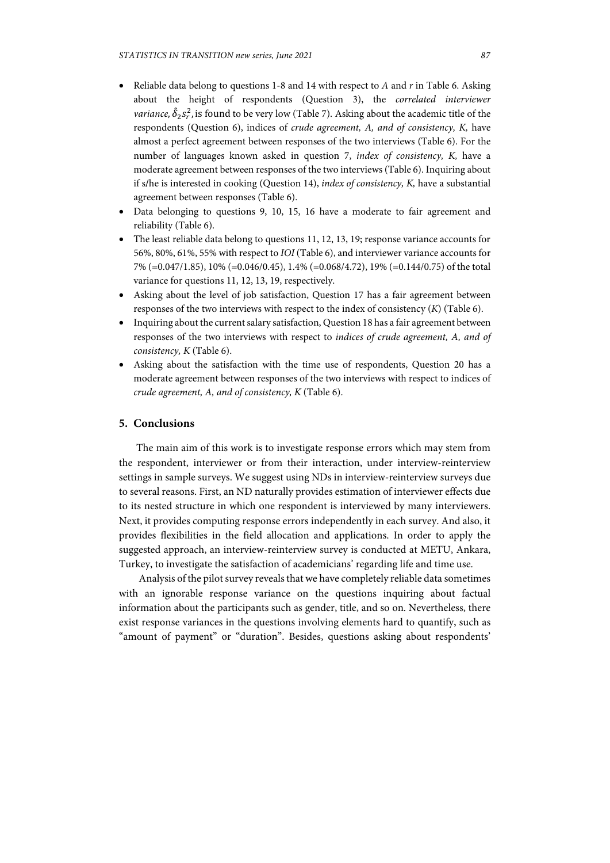- Reliable data belong to questions 1-8 and 14 with respect to *A* and *r* in Table 6. Asking about the height of respondents (Question 3), the *correlated interviewer variance,*  $\hat{\delta}_2 s_r^2$ , is found to be very low (Table 7). Asking about the academic title of the respondents (Question 6), indices of *crude agreement, A, and of consistency, K,* have almost a perfect agreement between responses of the two interviews (Table 6). For the number of languages known asked in question 7, *index of consistency, K,* have a moderate agreement between responses of the two interviews (Table 6). Inquiring about if s**/**he is interested in cooking (Question 14), *index of consistency, K,* have a substantial agreement between responses (Table 6).
- Data belonging to questions 9, 10, 15, 16 have a moderate to fair agreement and reliability (Table 6).
- The least reliable data belong to questions 11, 12, 13, 19; response variance accounts for 56%, 80%, 61%, 55% with respect to *IOI* (Table 6), and interviewer variance accounts for 7% (=0.047/1.85), 10% (=0.046/0.45), 1.4% (=0.068/4.72), 19% (=0.144/0.75) of the total variance for questions 11, 12, 13, 19, respectively.
- Asking about the level of job satisfaction, Question 17 has a fair agreement between responses of the two interviews with respect to the index of consistency (*K*) (Table 6).
- Inquiring about the current salary satisfaction, Question 18 has a fair agreement between responses of the two interviews with respect to *indices of crude agreement, A, and of consistency, K* (Table 6).
- Asking about the satisfaction with the time use of respondents, Question 20 has a moderate agreement between responses of the two interviews with respect to indices of *crude agreement, A, and of consistency, K* (Table 6).

# **5. Conclusions**

The main aim of this work is to investigate response errors which may stem from the respondent, interviewer or from their interaction, under interview-reinterview settings in sample surveys. We suggest using NDs in interview-reinterview surveys due to several reasons. First, an ND naturally provides estimation of interviewer effects due to its nested structure in which one respondent is interviewed by many interviewers. Next, it provides computing response errors independently in each survey. And also, it provides flexibilities in the field allocation and applications. In order to apply the suggested approach, an interview-reinterview survey is conducted at METU, Ankara, Turkey, to investigate the satisfaction of academicians' regarding life and time use.

 Analysis of the pilot survey reveals that we have completely reliable data sometimes with an ignorable response variance on the questions inquiring about factual information about the participants such as gender, title, and so on. Nevertheless, there exist response variances in the questions involving elements hard to quantify, such as "amount of payment" or "duration". Besides, questions asking about respondents'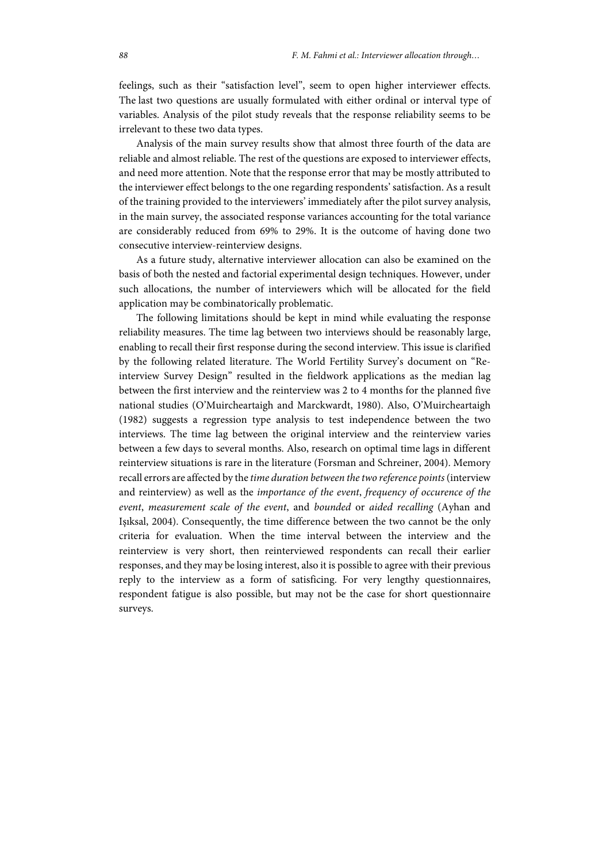feelings, such as their "satisfaction level", seem to open higher interviewer effects. The last two questions are usually formulated with either ordinal or interval type of variables. Analysis of the pilot study reveals that the response reliability seems to be irrelevant to these two data types.

Analysis of the main survey results show that almost three fourth of the data are reliable and almost reliable. The rest of the questions are exposed to interviewer effects, and need more attention. Note that the response error that may be mostly attributed to the interviewer effect belongs to the one regarding respondents' satisfaction. As a result of the training provided to the interviewers' immediately after the pilot survey analysis, in the main survey, the associated response variances accounting for the total variance are considerably reduced from 69% to 29%. It is the outcome of having done two consecutive interview-reinterview designs.

As a future study, alternative interviewer allocation can also be examined on the basis of both the nested and factorial experimental design techniques. However, under such allocations, the number of interviewers which will be allocated for the field application may be combinatorically problematic.

The following limitations should be kept in mind while evaluating the response reliability measures. The time lag between two interviews should be reasonably large, enabling to recall their first response during the second interview. This issue is clarified by the following related literature. The World Fertility Survey's document on "Reinterview Survey Design" resulted in the fieldwork applications as the median lag between the first interview and the reinterview was 2 to 4 months for the planned five national studies (O'Muircheartaigh and Marckwardt, 1980). Also, O'Muircheartaigh (1982) suggests a regression type analysis to test independence between the two interviews. The time lag between the original interview and the reinterview varies between a few days to several months. Also, research on optimal time lags in different reinterview situations is rare in the literature (Forsman and Schreiner, 2004). Memory recall errors are affected by the *time duration between the two reference points* (interview and reinterview) as well as the *importance of the event*, *frequency of occurence of the event*, *measurement scale of the event*, and *bounded* or *aided recalling* (Ayhan and Işıksal, 2004). Consequently, the time difference between the two cannot be the only criteria for evaluation. When the time interval between the interview and the reinterview is very short, then reinterviewed respondents can recall their earlier responses, and they may be losing interest, also it is possible to agree with their previous reply to the interview as a form of satisficing. For very lengthy questionnaires, respondent fatigue is also possible, but may not be the case for short questionnaire surveys.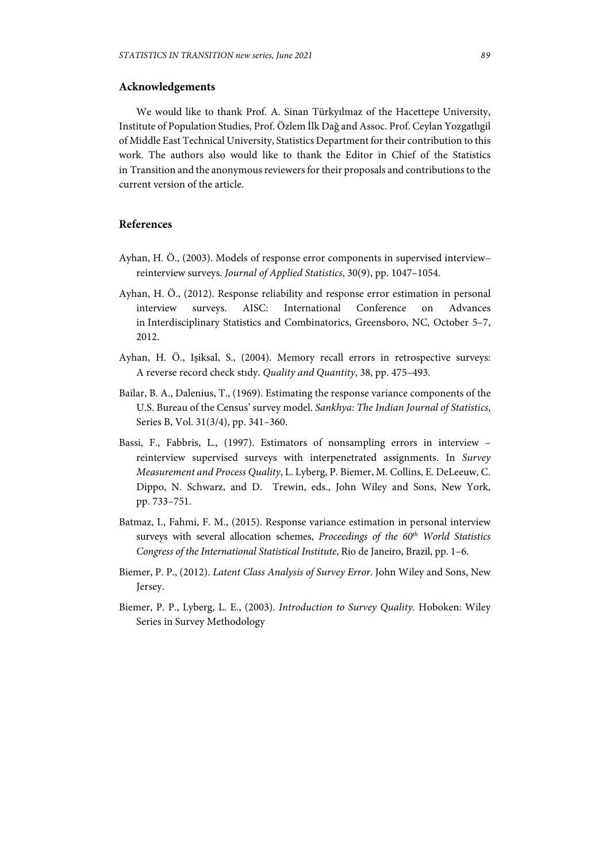## **Acknowledgements**

We would like to thank Prof. A. Sinan Türkyılmaz of the Hacettepe University, Institute of Population Studies, Prof. Özlem İlk Dağ and Assoc. Prof. Ceylan Yozgatlıgil of Middle East Technical University, Statistics Department for their contribution to this work. The authors also would like to thank the Editor in Chief of the Statistics in Transition and the anonymous reviewers for their proposals and contributions to the current version of the article.

## **References**

- Ayhan, H. Ö., (2003). Models of response error components in supervised interview– reinterview surveys. *Journal of Applied Statistics*, 30(9), pp. 1047–1054.
- Ayhan, H. Ö., (2012). Response reliability and response error estimation in personal interview surveys. AISC: International Conference on Advances in Interdisciplinary Statistics and Combinatorics, Greensboro, NC, October 5–7, 2012.
- Ayhan, H. Ö., Işiksal, S., (2004). Memory recall errors in retrospective surveys: A reverse record check stıdy. *Quality and Quantity*, 38, pp. 475–493.
- Bailar, B. A., Dalenius, T., (1969). Estimating the response variance components of the U.S. Bureau of the Census' survey model. *Sankhya: The Indian Journal of Statistics*, Series B, Vol. 31(3/4), pp. 341–360.
- Bassi, F., Fabbris, L., (1997). Estimators of nonsampling errors in interview reinterview supervised surveys with interpenetrated assignments. In *Survey Measurement and Process Quality*, L. Lyberg, P. Biemer, M. Collins, E. DeLeeuw, C. Dippo, N. Schwarz, and D. Trewin, eds., John Wiley and Sons, New York, pp. 733–751.
- Batmaz, I., Fahmi, F. M., (2015). Response variance estimation in personal interview surveys with several allocation schemes, *Proceedings of the 60th World Statistics Congress of the International Statistical Institute*, Rio de Janeiro, Brazil, pp. 1–6.
- Biemer, P. P., (2012). *Latent Class Analysis of Survey Error*. John Wiley and Sons, New Jersey.
- Biemer, P. P., Lyberg, L. E., (2003). *Introduction to Survey Quality.* Hoboken: Wiley Series in Survey Methodology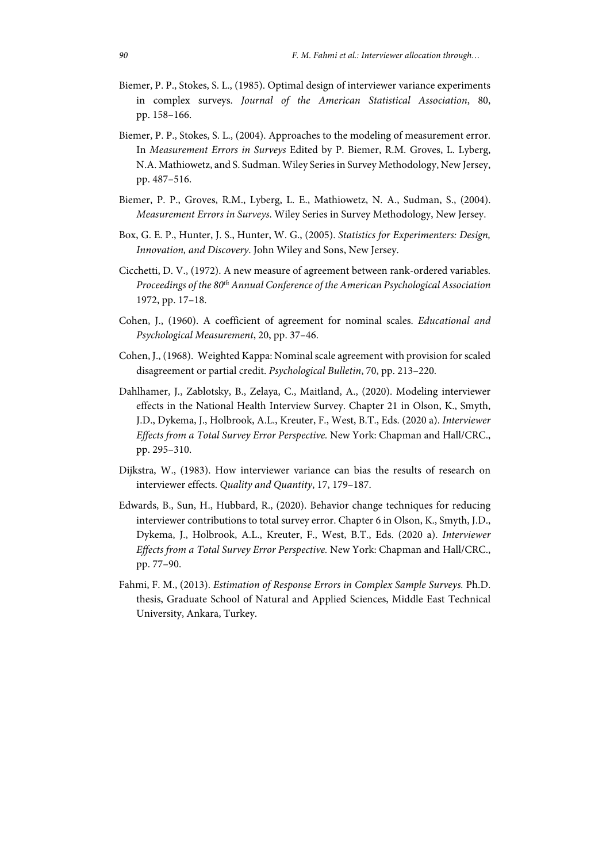- Biemer, P. P., Stokes, S. L., (1985). Optimal design of interviewer variance experiments in complex surveys. *Journal of the American Statistical Association*, 80, pp. 158–166.
- Biemer, P. P., Stokes, S. L., (2004). Approaches to the modeling of measurement error. In *Measurement Errors in Surveys* Edited by P. Biemer, R.M. Groves, L. Lyberg, N.A. Mathiowetz, and S. Sudman. Wiley Series in Survey Methodology, New Jersey, pp. 487–516.
- Biemer, P. P., Groves, R.M., Lyberg, L. E., Mathiowetz, N. A., Sudman, S., (2004). *Measurement Errors in Surveys*. Wiley Series in Survey Methodology, New Jersey.
- Box, G. E. P., Hunter, J. S., Hunter, W. G., (2005). *Statistics for Experimenters: Design, Innovation, and Discovery*. John Wiley and Sons, New Jersey.
- Cicchetti, D. V., (1972). A new measure of agreement between rank-ordered variables. *Proceedings of the 80th Annual Conference of the American Psychological Association* 1972, pp. 17–18.
- Cohen, J., (1960). A coefficient of agreement for nominal scales. *Educational and Psychological Measurement*, 20, pp. 37–46.
- Cohen, J., (1968). Weighted Kappa: Nominal scale agreement with provision for scaled disagreement or partial credit. *Psychological Bulletin*, 70, pp. 213–220.
- Dahlhamer, J., Zablotsky, B., Zelaya, C., Maitland, A., (2020). Modeling interviewer effects in the National Health Interview Survey. Chapter 21 in Olson, K., Smyth, J.D., Dykema, J., Holbrook, A.L., Kreuter, F., West, B.T., Eds. (2020 a). *Interviewer Effects from a Total Survey Error Perspective.* New York: Chapman and Hall/CRC., pp. 295–310.
- Dijkstra, W., (1983). How interviewer variance can bias the results of research on interviewer effects. *Quality and Quantity*, 17, 179–187.
- Edwards, B., Sun, H., Hubbard, R., (2020). Behavior change techniques for reducing interviewer contributions to total survey error. Chapter 6 in Olson, K., Smyth, J.D., Dykema, J., Holbrook, A.L., Kreuter, F., West, B.T., Eds. (2020 a). *Interviewer Effects from a Total Survey Error Perspective.* New York: Chapman and Hall/CRC., pp. 77–90.
- Fahmi, F. M., (2013). *Estimation of Response Errors in Complex Sample Surveys.* Ph.D. thesis, Graduate School of Natural and Applied Sciences, Middle East Technical University, Ankara, Turkey.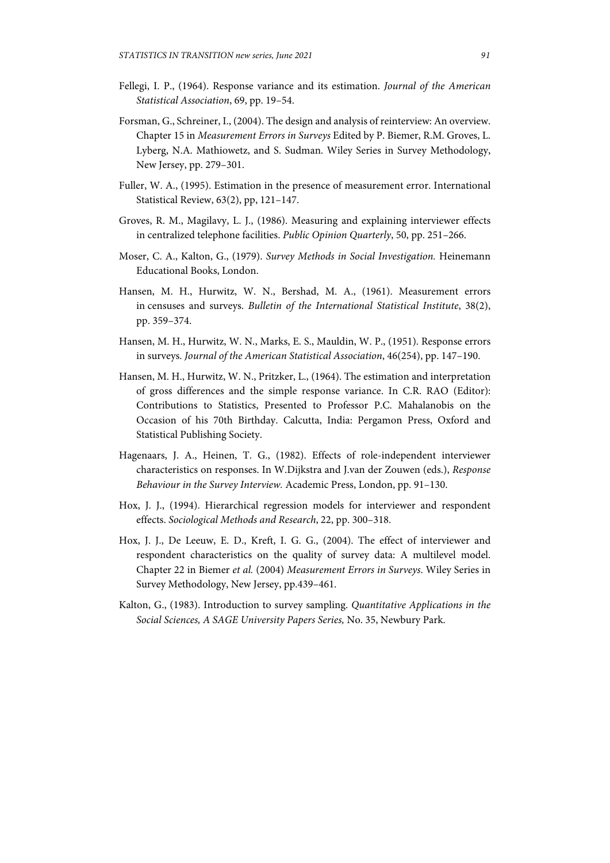- Fellegi, I. P., (1964). Response variance and its estimation. *Journal of the American Statistical Association*, 69, pp. 19–54.
- Forsman, G., Schreiner, I., (2004). The design and analysis of reinterview: An overview. Chapter 15 in *Measurement Errors in Surveys* Edited by P. Biemer, R.M. Groves, L. Lyberg, N.A. Mathiowetz, and S. Sudman. Wiley Series in Survey Methodology, New Jersey, pp. 279–301.
- Fuller, W. A., (1995). Estimation in the presence of measurement error. International Statistical Review, 63(2), pp, 121–147.
- Groves, R. M., Magilavy, L. J., (1986). Measuring and explaining interviewer effects in centralized telephone facilities. *Public Opinion Quarterly*, 50, pp. 251–266.
- Moser, C. A., Kalton, G., (1979). *Survey Methods in Social Investigation.* Heinemann Educational Books, London.
- Hansen, M. H., Hurwitz, W. N., Bershad, M. A., (1961). Measurement errors in censuses and surveys. *Bulletin of the International Statistical Institute*, 38(2), pp. 359–374.
- Hansen, M. H., Hurwitz, W. N., Marks, E. S., Mauldin, W. P., (1951). Response errors in surveys. *Journal of the American Statistical Association*, 46(254), pp. 147–190.
- Hansen, M. H., Hurwitz, W. N., Pritzker, L., (1964). The estimation and interpretation of gross differences and the simple response variance. In C.R. RAO (Editor): Contributions to Statistics, Presented to Professor P.C. Mahalanobis on the Occasion of his 70th Birthday. Calcutta, India: Pergamon Press, Oxford and Statistical Publishing Society.
- Hagenaars, J. A., Heinen, T. G., (1982). Effects of role-independent interviewer characteristics on responses. In W.Dijkstra and J.van der Zouwen (eds.), *Response Behaviour in the Survey Interview.* Academic Press, London, pp. 91–130.
- Hox, J. J., (1994). Hierarchical regression models for interviewer and respondent effects. *Sociological Methods and Research*, 22, pp. 300–318.
- Hox, J. J., De Leeuw, E. D., Kreft, I. G. G., (2004). The effect of interviewer and respondent characteristics on the quality of survey data: A multilevel model. Chapter 22 in Biemer *et al.* (2004) *Measurement Errors in Surveys*. Wiley Series in Survey Methodology, New Jersey, pp.439–461.
- Kalton, G., (1983). Introduction to survey sampling. *Quantitative Applications in the Social Sciences, A SAGE University Papers Series,* No. 35, Newbury Park.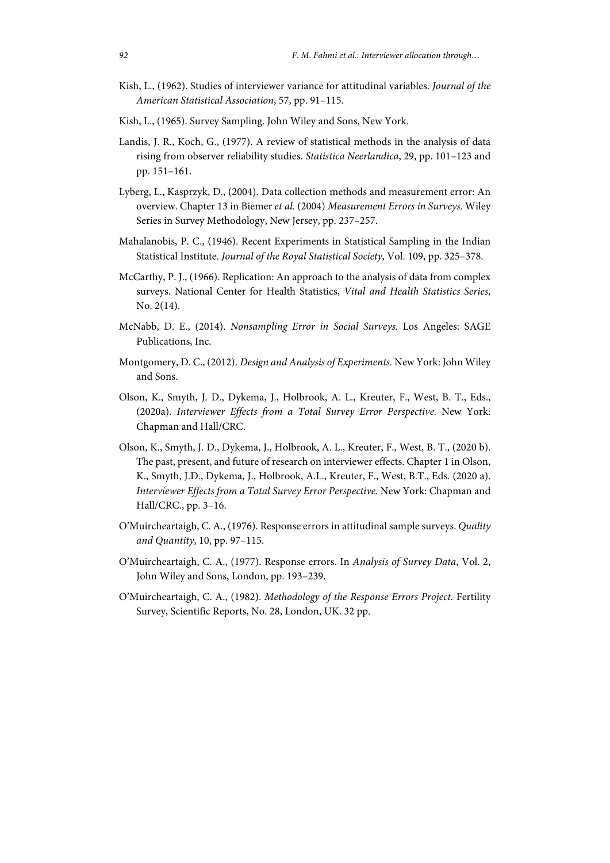- Kish, L., (1962). Studies of interviewer variance for attitudinal variables. *Journal of the American Statistical Association*, 57, pp. 91–115.
- Kish, L., (1965). Survey Sampling. John Wiley and Sons, New York.
- Landis, J. R., Koch, G., (1977). A review of statistical methods in the analysis of data rising from observer reliability studies. *Statistica Neerlandica*, 29, pp. 101–123 and pp. 151–161.
- Lyberg, L., Kasprzyk, D., (2004). Data collection methods and measurement error: An overview. Chapter 13 in Biemer *et al.* (2004) *Measurement Errors in Surveys*. Wiley Series in Survey Methodology, New Jersey, pp. 237–257.
- Mahalanobis, P. C., (1946). Recent Experiments in Statistical Sampling in the Indian Statistical Institute. *Journal of the Royal Statistical Society*, Vol. 109, pp. 325–378.
- McCarthy, P. J., (1966). Replication: An approach to the analysis of data from complex surveys. National Center for Health Statistics, *Vital and Health Statistics Series*, No. 2(14).
- McNabb, D. E., (2014). *Nonsampling Error in Social Surveys.* Los Angeles: SAGE Publications, Inc.
- Montgomery, D. C., (2012). *Design and Analysis of Experiments.* New York: John Wiley and Sons.
- Olson, K., Smyth, J. D., Dykema, J., Holbrook, A. L., Kreuter, F., West, B. T., Eds., (2020a). *Interviewer Effects from a Total Survey Error Perspective.* New York: Chapman and Hall/CRC.
- Olson, K., Smyth, J. D., Dykema, J., Holbrook, A. L., Kreuter, F., West, B. T., (2020 b). The past, present, and future of research on interviewer effects. Chapter 1 in Olson, K., Smyth, J.D., Dykema, J., Holbrook, A.L., Kreuter, F., West, B.T., Eds. (2020 a). *Interviewer Effects from a Total Survey Error Perspective.* New York: Chapman and Hall/CRC., pp. 3–16.
- O'Muircheartaigh, C. A., (1976). Response errors in attitudinal sample surveys. *Quality and Quantity*, 10, pp. 97–115.
- O'Muircheartaigh, C. A., (1977). Response errors. In *Analysis of Survey Data*, Vol. 2, John Wiley and Sons, London, pp. 193–239.
- O'Muircheartaigh, C. A., (1982). *Methodology of the Response Errors Project.* Fertility Survey, Scientific Reports, No. 28, London, UK. 32 pp.